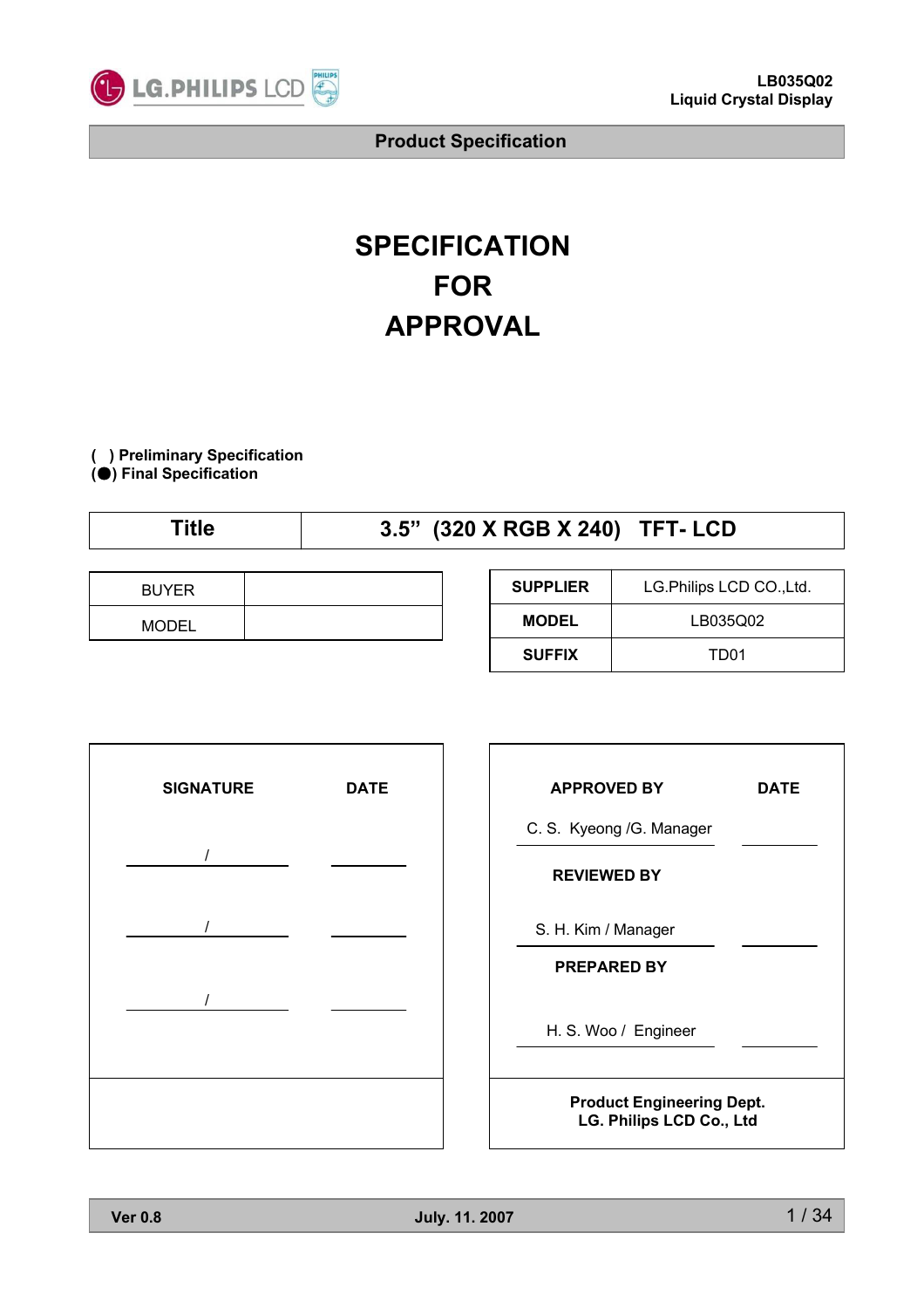

# **SPECIFICATION FOR APPROVAL**

**( ) Preliminary Specification (**̻**) Final Specification**

# **Title 3.5" (320 X RGB X 240) TFT- LCD**

| <b>BUYER</b> |  |
|--------------|--|
| <b>MODEL</b> |  |

| <b>SUPPLIER</b> | LG.Philips LCD CO., Ltd. |
|-----------------|--------------------------|
| <b>MODEL</b>    | LB035Q02                 |
| <b>SUFFIX</b>   | TD01                     |



| <b>APPROVED BY</b>                                           | <b>DATE</b> |  |  |  |
|--------------------------------------------------------------|-------------|--|--|--|
| C. S. Kyeong /G. Manager                                     |             |  |  |  |
| <b>REVIEWED BY</b>                                           |             |  |  |  |
| S. H. Kim / Manager                                          |             |  |  |  |
| <b>PREPARED BY</b>                                           |             |  |  |  |
| H. S. Woo / Engineer                                         |             |  |  |  |
| <b>Product Engineering Dept.</b><br>LG. Philips LCD Co., Ltd |             |  |  |  |

٦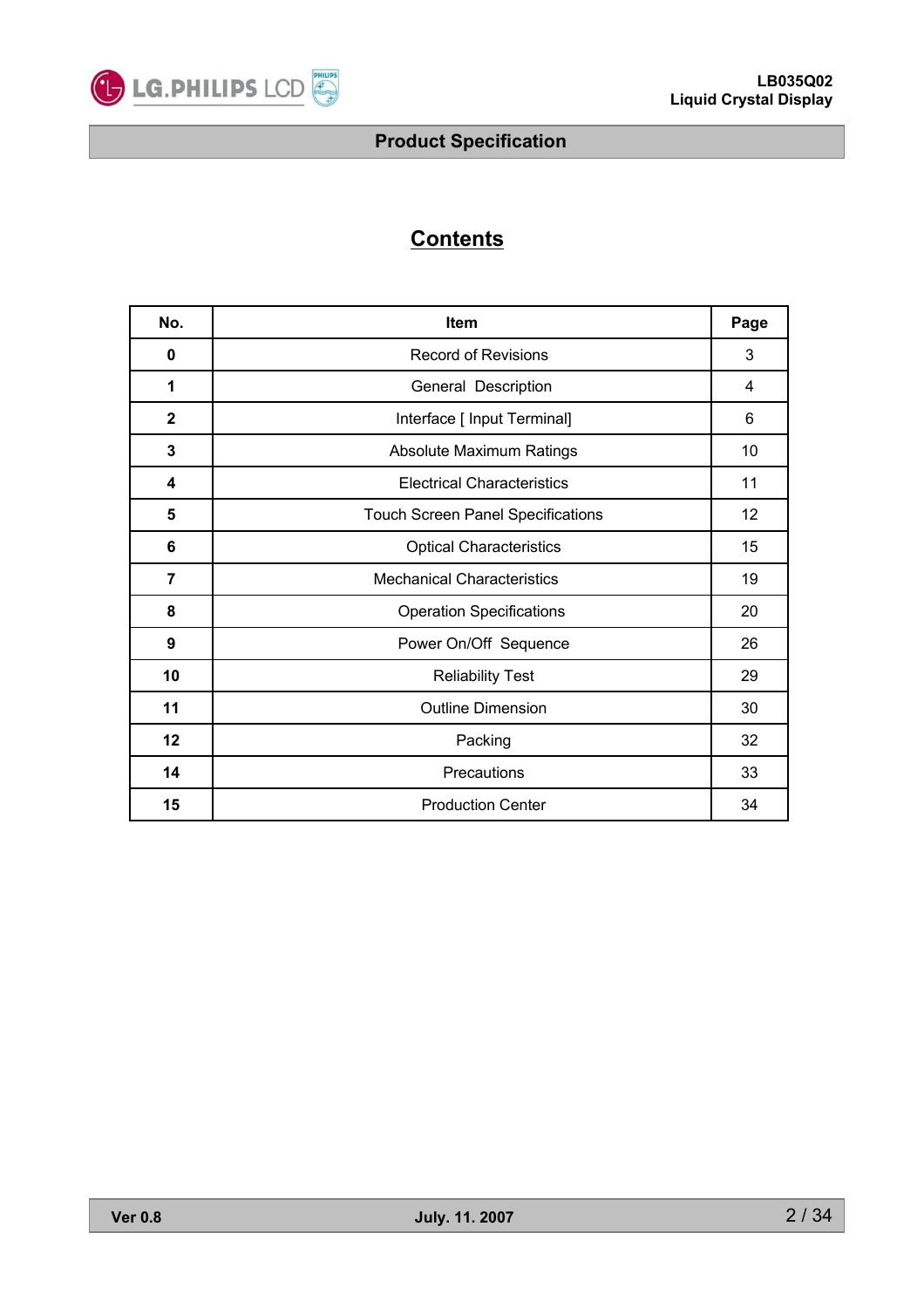

# **Contents**

| No.          | <b>Item</b>                              |    |  |  |  |  |  |
|--------------|------------------------------------------|----|--|--|--|--|--|
| 0            | <b>Record of Revisions</b>               | 3  |  |  |  |  |  |
| 1            | General Description                      | 4  |  |  |  |  |  |
| $\mathbf{2}$ | Interface [ Input Terminal]              | 6  |  |  |  |  |  |
| 3            | <b>Absolute Maximum Ratings</b>          | 10 |  |  |  |  |  |
| 4            | <b>Electrical Characteristics</b>        | 11 |  |  |  |  |  |
| 5            | <b>Touch Screen Panel Specifications</b> | 12 |  |  |  |  |  |
| 6            | <b>Optical Characteristics</b>           | 15 |  |  |  |  |  |
| 7            | <b>Mechanical Characteristics</b>        | 19 |  |  |  |  |  |
| 8            | <b>Operation Specifications</b>          | 20 |  |  |  |  |  |
| 9            | Power On/Off Sequence                    | 26 |  |  |  |  |  |
| 10           | <b>Reliability Test</b>                  | 29 |  |  |  |  |  |
| 11           | <b>Outline Dimension</b>                 | 30 |  |  |  |  |  |
| 12           | Packing                                  | 32 |  |  |  |  |  |
| 14           | Precautions                              | 33 |  |  |  |  |  |
| 15           | <b>Production Center</b>                 | 34 |  |  |  |  |  |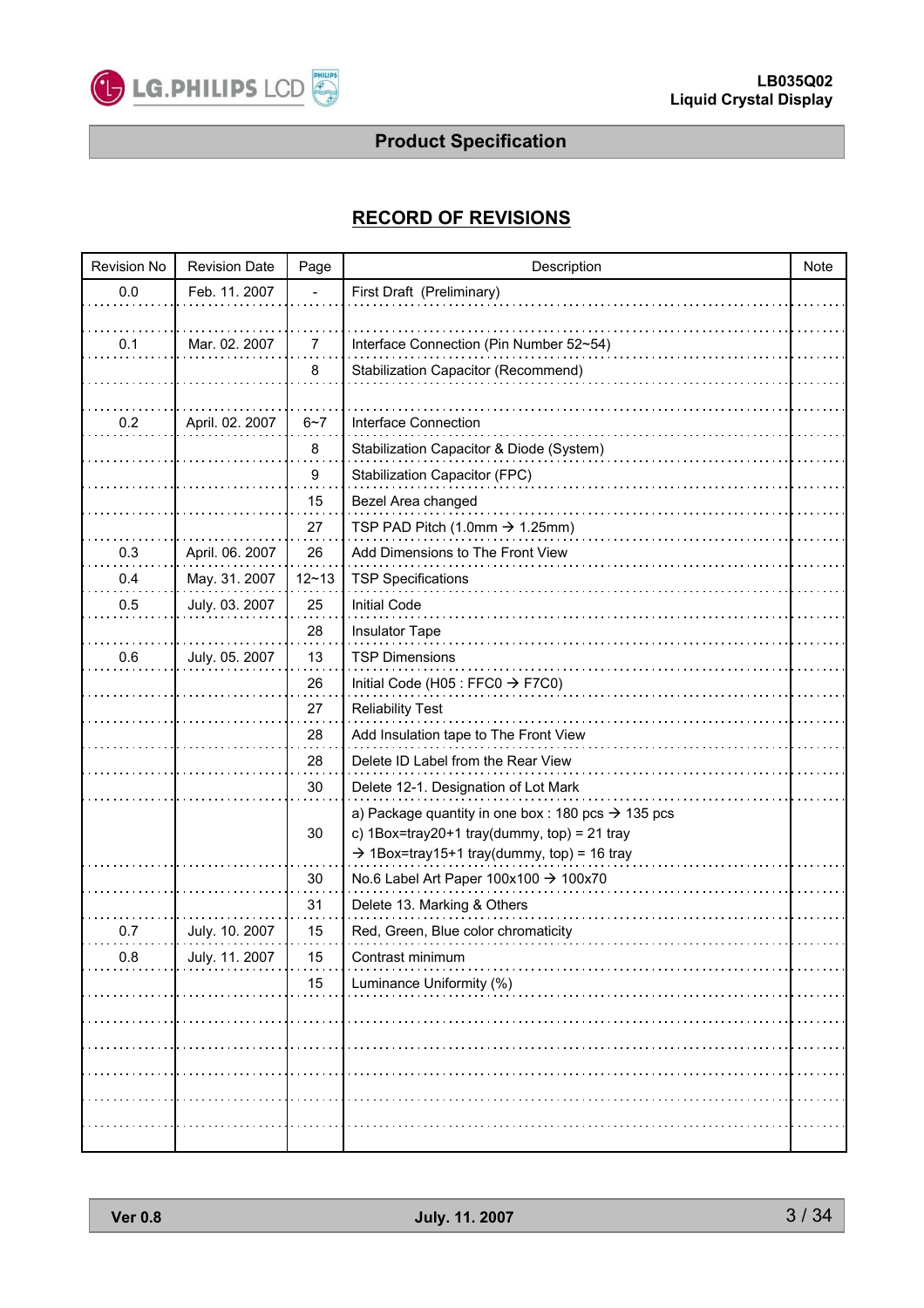

### **RECORD OF REVISIONS**

| <b>Revision No</b> | <b>Revision Date</b> | Page      | Description                                                    | Note |
|--------------------|----------------------|-----------|----------------------------------------------------------------|------|
| 0.0                | Feb. 11. 2007        |           | First Draft (Preliminary)                                      |      |
|                    |                      |           |                                                                |      |
| 0.1                | Mar. 02. 2007        | 7         | Interface Connection (Pin Number 52~54)                        |      |
|                    |                      | 8         | Stabilization Capacitor (Recommend)                            |      |
|                    |                      |           |                                                                |      |
| 0.2                | April. 02. 2007      | $6 - 7$   | Interface Connection                                           |      |
|                    |                      | 8         | Stabilization Capacitor & Diode (System)                       |      |
|                    |                      | 9         | Stabilization Capacitor (FPC)                                  |      |
|                    |                      | 15        | Bezel Area changed                                             |      |
|                    |                      | 27        | TSP PAD Pitch (1.0mm $\rightarrow$ 1.25mm)                     |      |
| 0.3                | April. 06. 2007      | 26        | Add Dimensions to The Front View                               |      |
| 0.4                | May. 31. 2007        | $12 - 13$ | <b>TSP Specifications</b>                                      |      |
| 0.5                | July. 03. 2007       | 25        | <b>Initial Code</b>                                            |      |
|                    |                      | 28        | Insulator Tape                                                 |      |
| 0.6                | July. 05. 2007       | 13        | <b>TSP Dimensions</b>                                          |      |
|                    |                      | 26        | Initial Code (H05 : FFC0 $\rightarrow$ F7C0)                   |      |
|                    |                      | 27        | <b>Reliability Test</b>                                        |      |
|                    |                      | 28        | Add Insulation tape to The Front View                          |      |
|                    |                      | 28        | Delete ID Label from the Rear View                             |      |
|                    |                      | 30        | Delete 12-1. Designation of Lot Mark                           |      |
|                    |                      |           | a) Package quantity in one box : 180 pcs $\rightarrow$ 135 pcs |      |
|                    |                      | 30        | c) $1$ Box=tray20+1 tray(dummy, top) = 21 tray                 |      |
|                    |                      |           | $\rightarrow$ 1Box=tray15+1 tray(dummy, top) = 16 tray         |      |
|                    |                      | 30        | No.6 Label Art Paper 100x100 → 100x70                          |      |
|                    |                      | 31        | Delete 13. Marking & Others                                    |      |
| 0.7                | July. 10. 2007       | 15        | Red, Green, Blue color chromaticity                            |      |
| 0.8                | July. 11. 2007       | 15        | Contrast minimum                                               |      |
|                    |                      | 15        | Luminance Uniformity (%)                                       |      |
|                    |                      |           |                                                                |      |
|                    |                      |           |                                                                |      |
|                    |                      |           |                                                                |      |
|                    |                      |           |                                                                |      |
|                    |                      |           |                                                                |      |
|                    |                      |           |                                                                |      |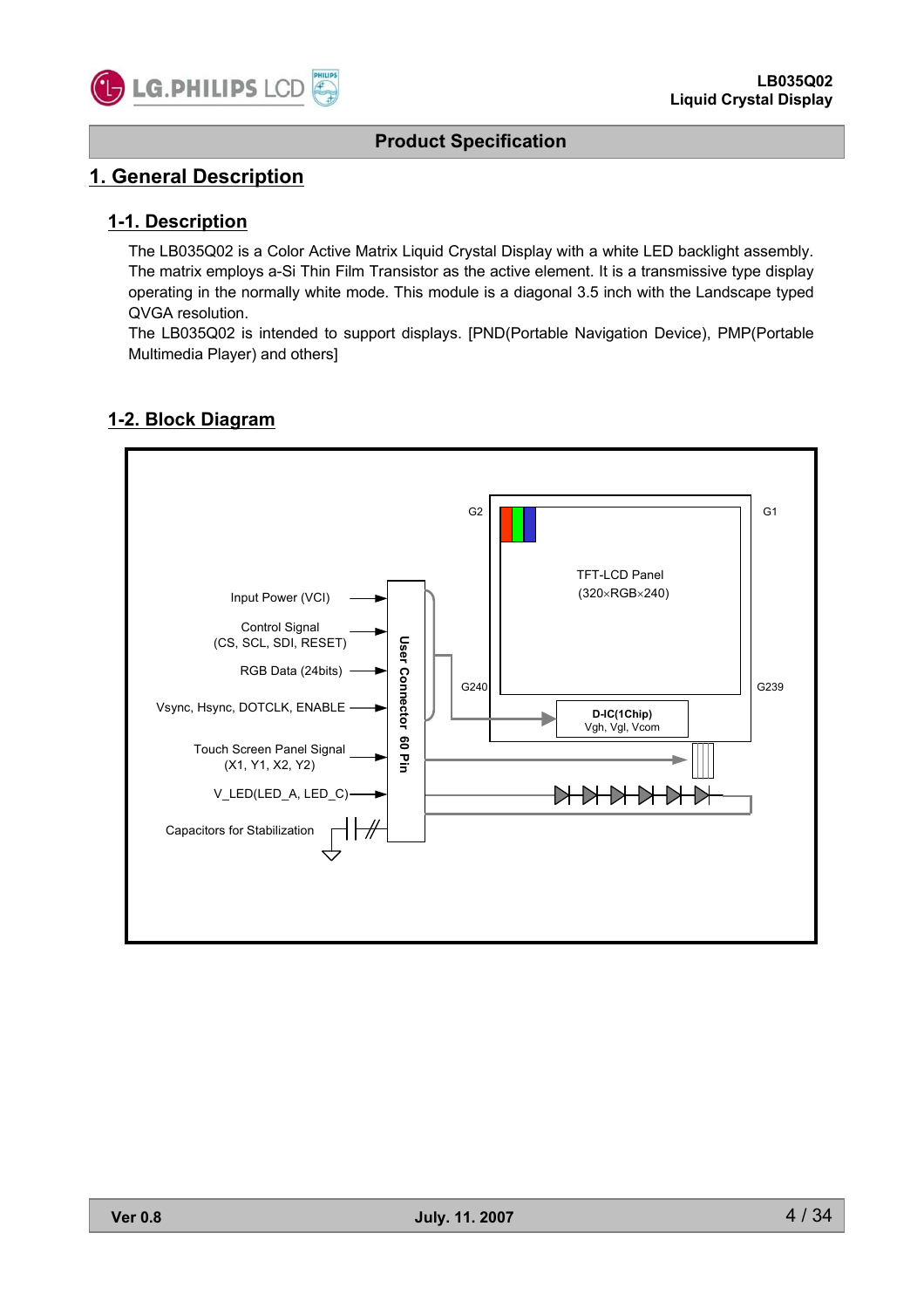

### **1. General Description**

#### **1-1. Description**

The LB035Q02 is a Color Active Matrix Liquid Crystal Display with a white LED backlight assembly. The matrix employs a-Si Thin Film Transistor as the active element. It is a transmissive type display operating in the normally white mode. This module is a diagonal 3.5 inch with the Landscape typed QVGA resolution.

The LB035Q02 is intended to support displays. [PND(Portable Navigation Device), PMP(Portable Multimedia Player) and others]

#### **1-2. Block Diagram**

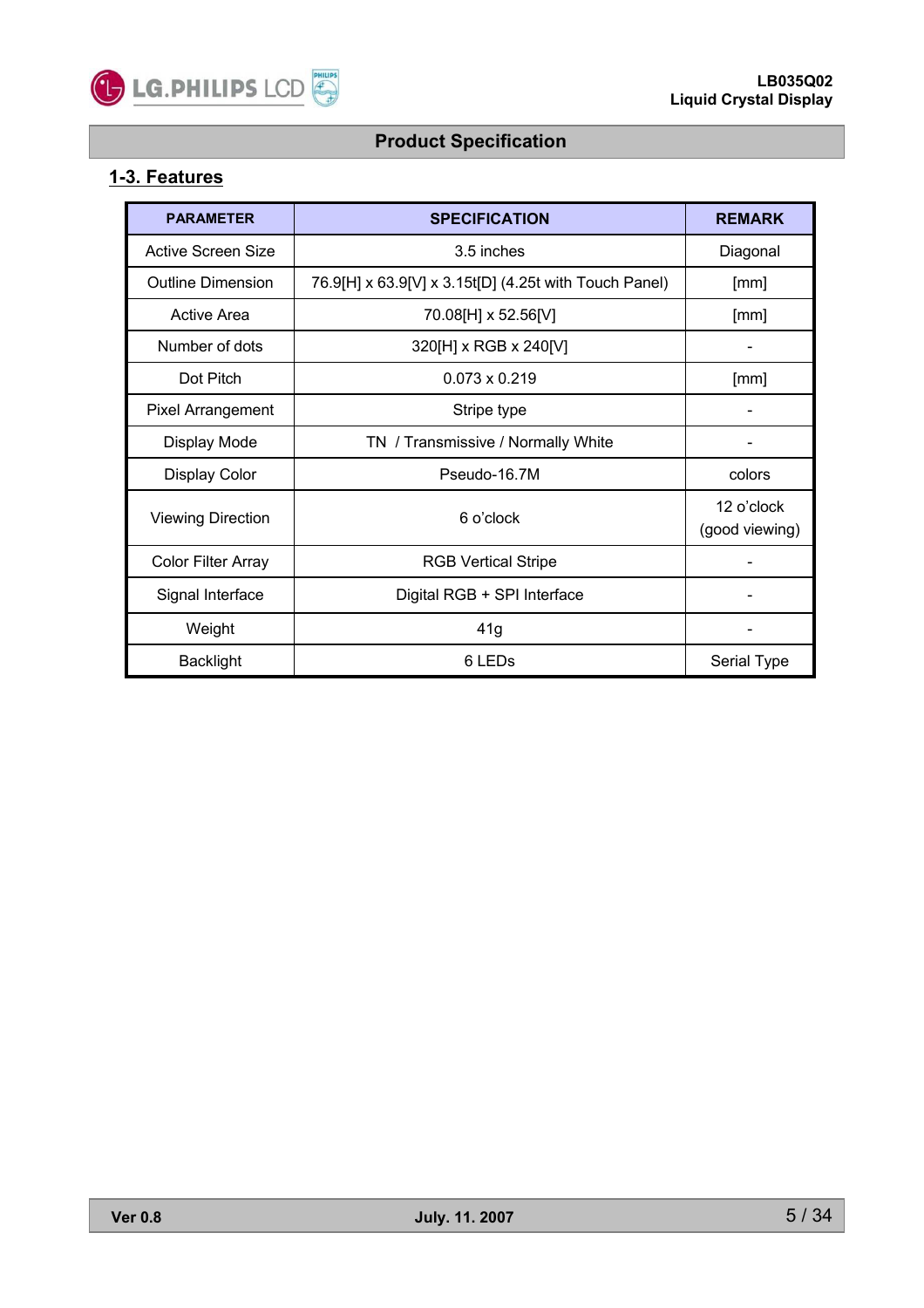

### **1-3. Features**

| <b>PARAMETER</b>          | <b>SPECIFICATION</b>                                  | <b>REMARK</b>                |
|---------------------------|-------------------------------------------------------|------------------------------|
| Active Screen Size        | 3.5 inches                                            | Diagonal                     |
| <b>Outline Dimension</b>  | 76.9[H] x 63.9[V] x 3.15t[D] (4.25t with Touch Panel) | [mm]                         |
| Active Area               | 70.08[H] x 52.56[V]                                   | [mm]                         |
| Number of dots            | 320[H] x RGB x 240[V]                                 |                              |
| Dot Pitch                 | $0.073 \times 0.219$                                  | [mm]                         |
| Pixel Arrangement         | Stripe type                                           |                              |
| Display Mode              | TN / Transmissive / Normally White                    |                              |
| Display Color             | Pseudo-16.7M                                          | colors                       |
| <b>Viewing Direction</b>  | 6 o'clock                                             | 12 o'clock<br>(good viewing) |
| <b>Color Filter Array</b> | <b>RGB Vertical Stripe</b>                            |                              |
| Signal Interface          | Digital RGB + SPI Interface                           |                              |
| Weight                    | 41g                                                   |                              |
| <b>Backlight</b>          | 6 LED <sub>s</sub>                                    | Serial Type                  |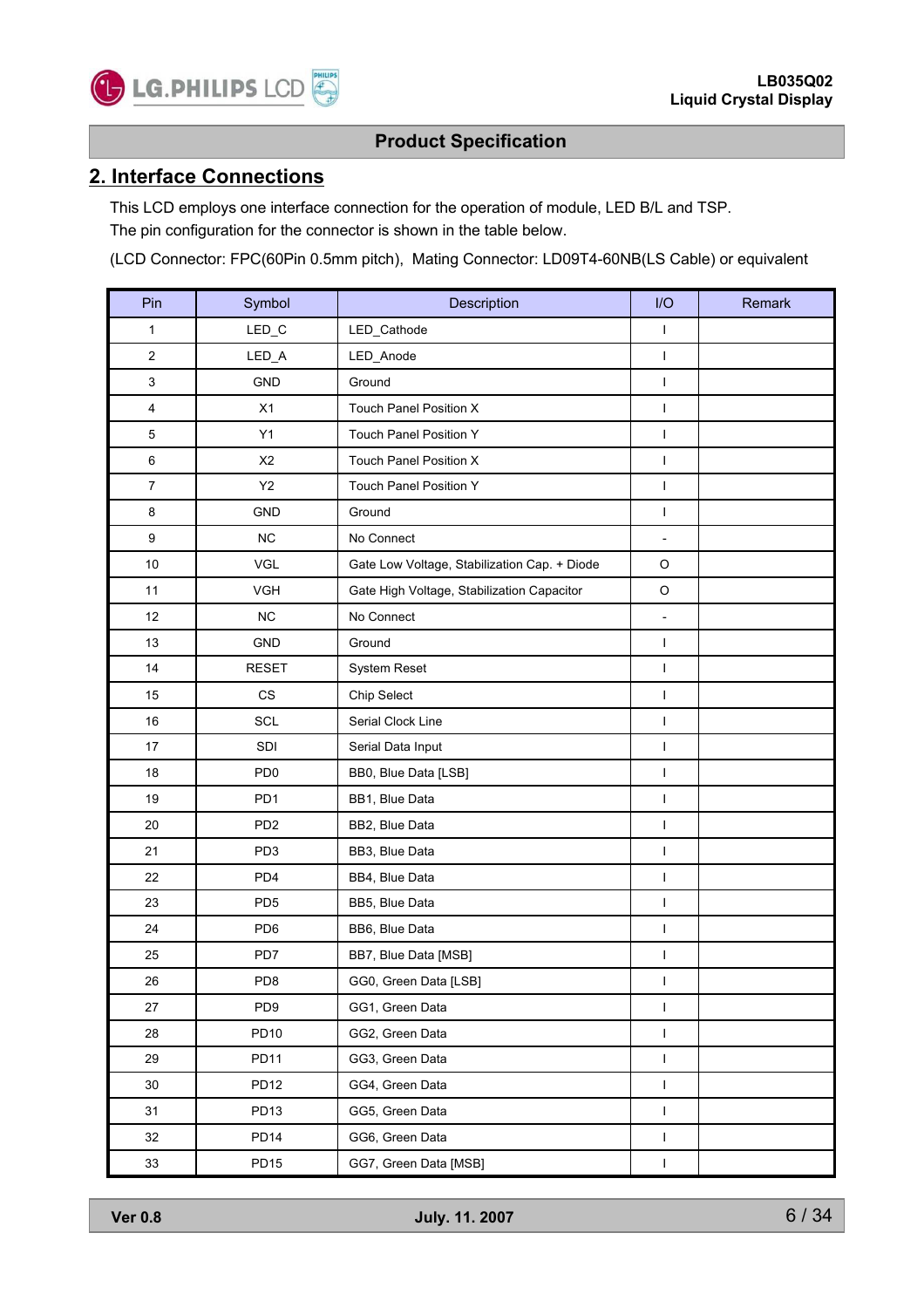

#### **2. Interface Connections**

This LCD employs one interface connection for the operation of module, LED B/L and TSP. The pin configuration for the connector is shown in the table below.

(LCD Connector: FPC(60Pin 0.5mm pitch), Mating Connector: LD09T4-60NB(LS Cable) or equivalent

| Pin            | Symbol                 | Description                                  | I/O                          | Remark |
|----------------|------------------------|----------------------------------------------|------------------------------|--------|
| 1              | LED_C                  | LED_Cathode                                  | I                            |        |
| 2              | LED_A                  | LED_Anode                                    | I                            |        |
| 3              | GND                    | Ground                                       | $\mathsf I$                  |        |
| 4              | X1                     | Touch Panel Position X                       | $\mathsf{I}$                 |        |
| 5              | Y1                     | <b>Touch Panel Position Y</b>                | $\mathsf{I}$                 |        |
| 6              | X <sub>2</sub>         | <b>Touch Panel Position X</b>                | I                            |        |
| $\overline{7}$ | Y2                     | Touch Panel Position Y                       | $\overline{1}$               |        |
| 8              | <b>GND</b>             | Ground                                       | L                            |        |
| 9              | <b>NC</b>              | No Connect                                   | $\overline{\phantom{m}}$     |        |
| 10             | VGL                    | Gate Low Voltage, Stabilization Cap. + Diode | $\hbox{O}$                   |        |
| 11             | <b>VGH</b>             | Gate High Voltage, Stabilization Capacitor   | O                            |        |
| 12             | <b>NC</b>              | No Connect                                   | $\qquad \qquad \blacksquare$ |        |
| 13             | <b>GND</b>             | Ground                                       | I                            |        |
| 14             | <b>RESET</b>           | System Reset                                 | I                            |        |
| 15             | $\mathbb{C}\mathbb{S}$ | Chip Select                                  | I                            |        |
| 16             | SCL                    | Serial Clock Line                            | I                            |        |
| 17             | SDI                    | Serial Data Input                            | $\mathsf{I}$                 |        |
| 18             | PD <sub>0</sub>        | BB0, Blue Data [LSB]                         | I                            |        |
| 19             | PD <sub>1</sub>        | BB1, Blue Data                               | I                            |        |
| 20             | PD <sub>2</sub>        | BB2, Blue Data                               | I                            |        |
| 21             | PD <sub>3</sub>        | BB3, Blue Data                               | $\mathsf{I}$                 |        |
| 22             | PD <sub>4</sub>        | BB4, Blue Data                               | $\mathsf{I}$                 |        |
| 23             | PD <sub>5</sub>        | BB5, Blue Data                               | L                            |        |
| 24             | PD <sub>6</sub>        | BB6, Blue Data                               | I                            |        |
| 25             | PD7                    | BB7, Blue Data [MSB]                         | I                            |        |
| 26             | PD <sub>8</sub>        | GG0, Green Data [LSB]                        | I                            |        |
| 27             | PD <sub>9</sub>        | GG1, Green Data                              | L                            |        |
| 28             | PD10                   | GG2, Green Data                              | $\mathsf I$                  |        |
| 29             | PD11                   | GG3, Green Data                              | L                            |        |
| 30             | <b>PD12</b>            | GG4, Green Data                              | I                            |        |
| 31             | PD <sub>13</sub>       | GG5, Green Data                              | L                            |        |
| 32             | <b>PD14</b>            | GG6, Green Data                              | $\mathsf I$                  |        |
| $33\,$         | PD <sub>15</sub>       | GG7, Green Data [MSB]                        | $\mathsf I$                  |        |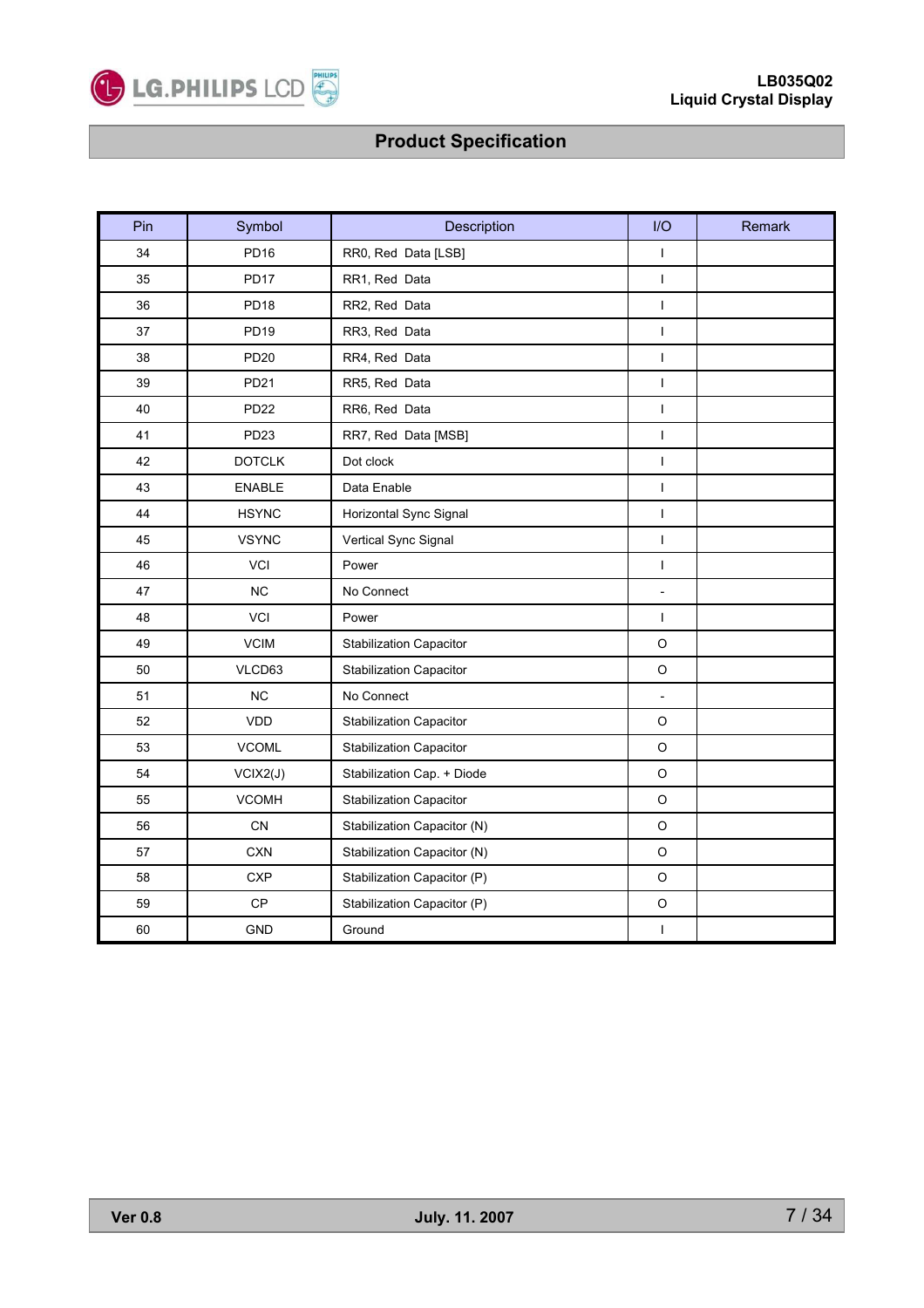

| Pin | Symbol           | Description                            | I/O                      | Remark |
|-----|------------------|----------------------------------------|--------------------------|--------|
| 34  | <b>PD16</b>      | RR0, Red Data [LSB]                    | $\mathbf{I}$             |        |
| 35  | <b>PD17</b>      | RR1, Red Data                          | $\mathbf{I}$             |        |
| 36  | PD <sub>18</sub> | RR2, Red Data                          | $\mathbf{I}$             |        |
| 37  | PD <sub>19</sub> | RR3, Red Data                          | $\mathbf{I}$             |        |
| 38  | <b>PD20</b>      | RR4, Red Data                          | $\mathbf{I}$             |        |
| 39  | PD21             | RR5, Red Data                          | $\mathbf{I}$             |        |
| 40  | <b>PD22</b>      | RR6, Red Data                          | $\mathbf{I}$             |        |
| 41  | PD <sub>23</sub> | RR7, Red Data [MSB]                    | $\mathbf{I}$             |        |
| 42  | <b>DOTCLK</b>    | Dot clock                              | $\mathbf{I}$             |        |
| 43  | <b>ENABLE</b>    | Data Enable                            | $\mathbf{I}$             |        |
| 44  | <b>HSYNC</b>     | Horizontal Sync Signal                 | $\mathbf{I}$             |        |
| 45  | <b>VSYNC</b>     | Vertical Sync Signal                   | $\mathbf{I}$             |        |
| 46  | <b>VCI</b>       | Power                                  | $\mathbf{I}$             |        |
| 47  | <b>NC</b>        | No Connect                             | $\overline{\phantom{0}}$ |        |
| 48  | VCI              | Power                                  | $\mathbf{I}$             |        |
| 49  | <b>VCIM</b>      | <b>Stabilization Capacitor</b>         | $\circ$                  |        |
| 50  | VLCD63           | <b>Stabilization Capacitor</b>         | $\circ$                  |        |
| 51  | <b>NC</b>        | No Connect                             | $\overline{\phantom{a}}$ |        |
| 52  | VDD              | <b>Stabilization Capacitor</b>         | $\circ$                  |        |
| 53  | <b>VCOML</b>     | Stabilization Capacitor                | $\circ$                  |        |
| 54  | VCIX2(J)         | Stabilization Cap. + Diode             | $\circ$                  |        |
| 55  | <b>VCOMH</b>     | <b>Stabilization Capacitor</b>         | $\circ$                  |        |
| 56  | <b>CN</b>        | Stabilization Capacitor (N)            | $\circ$                  |        |
| 57  | <b>CXN</b>       | $\circ$<br>Stabilization Capacitor (N) |                          |        |
| 58  | <b>CXP</b>       | Stabilization Capacitor (P)            | $\circ$                  |        |
| 59  | CP               | Stabilization Capacitor (P)            | $\hbox{O}$               |        |
| 60  | <b>GND</b>       | Ground                                 | $\mathsf I$              |        |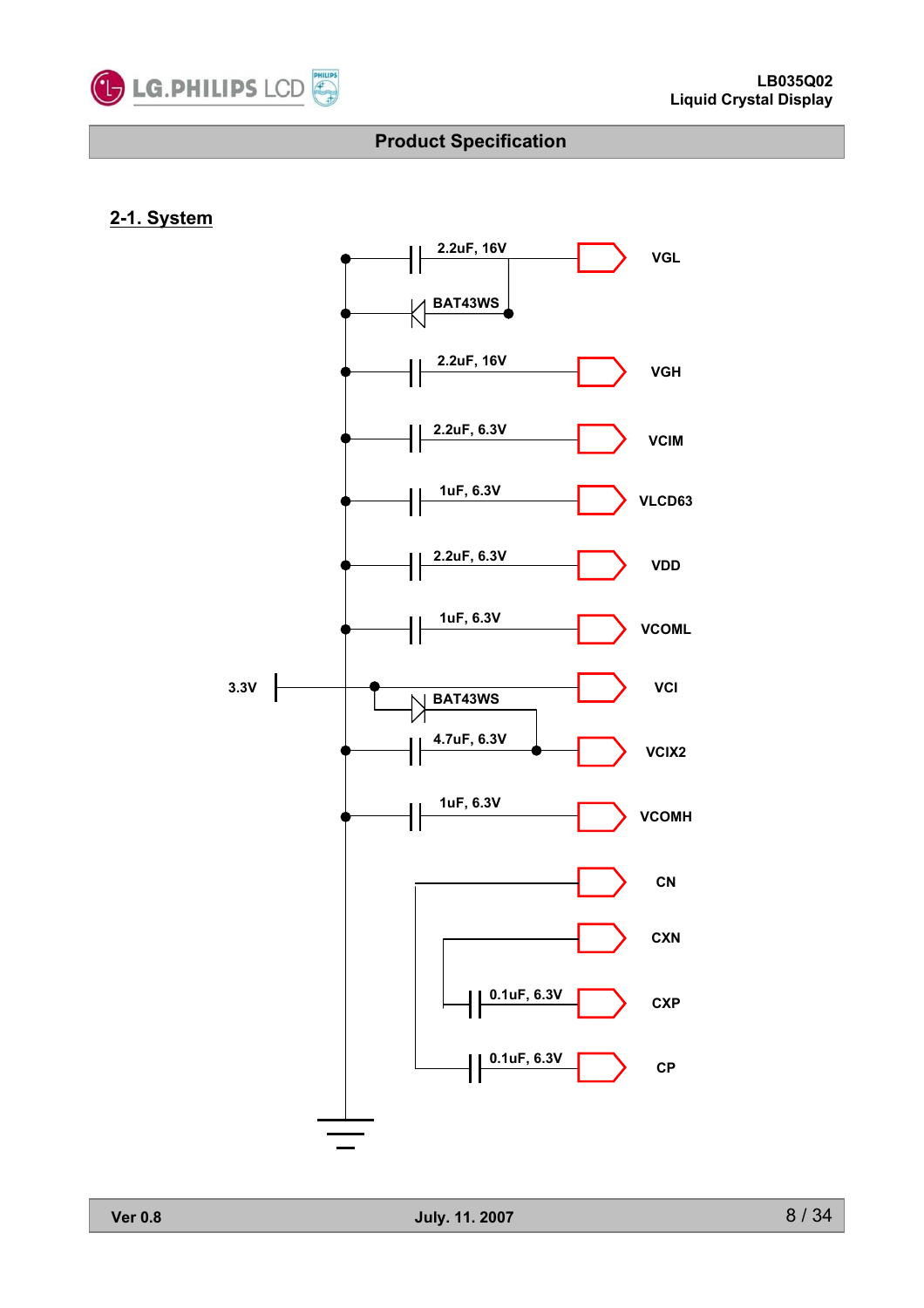

#### **2-1. System**

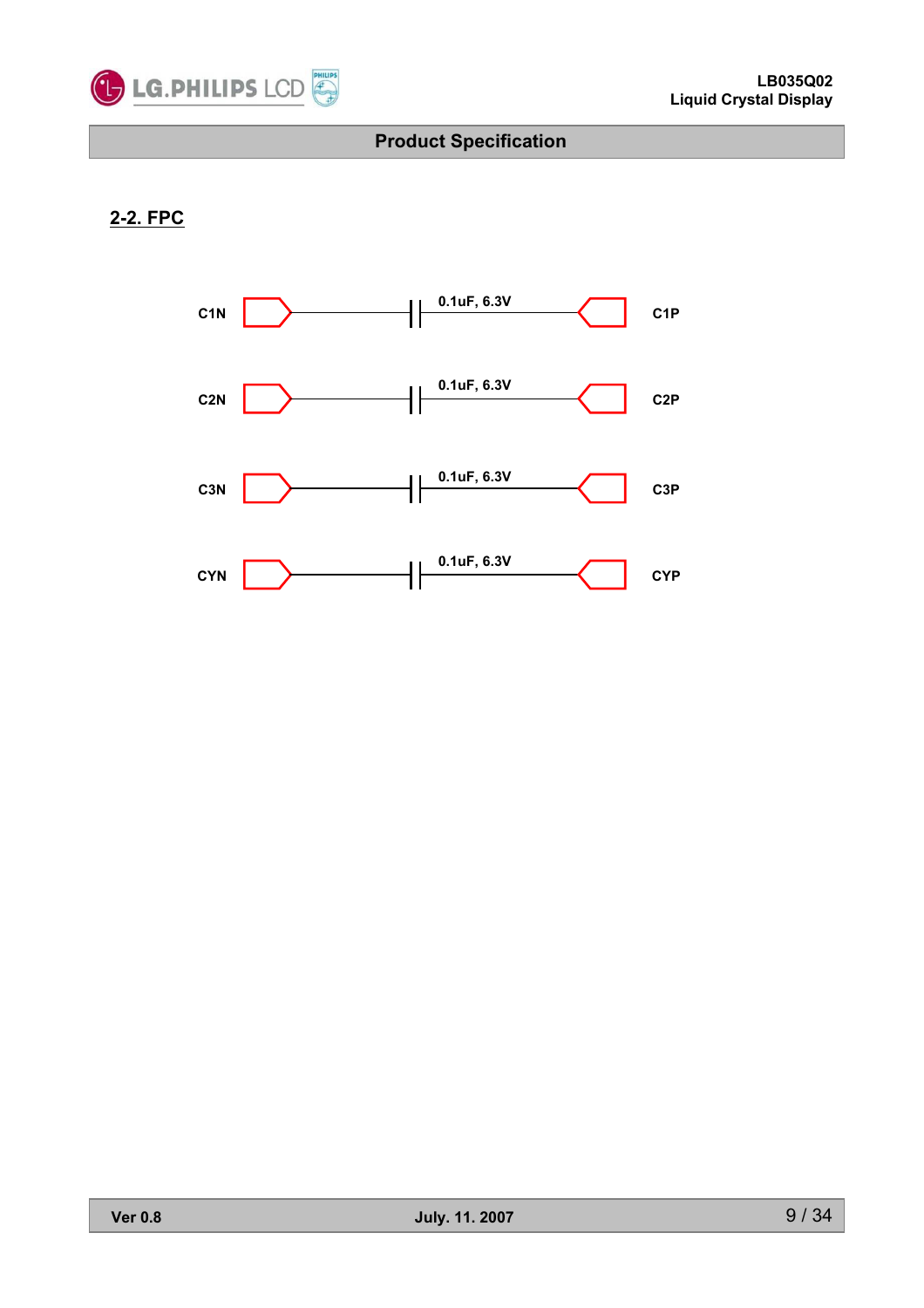

### **2-2. FPC**

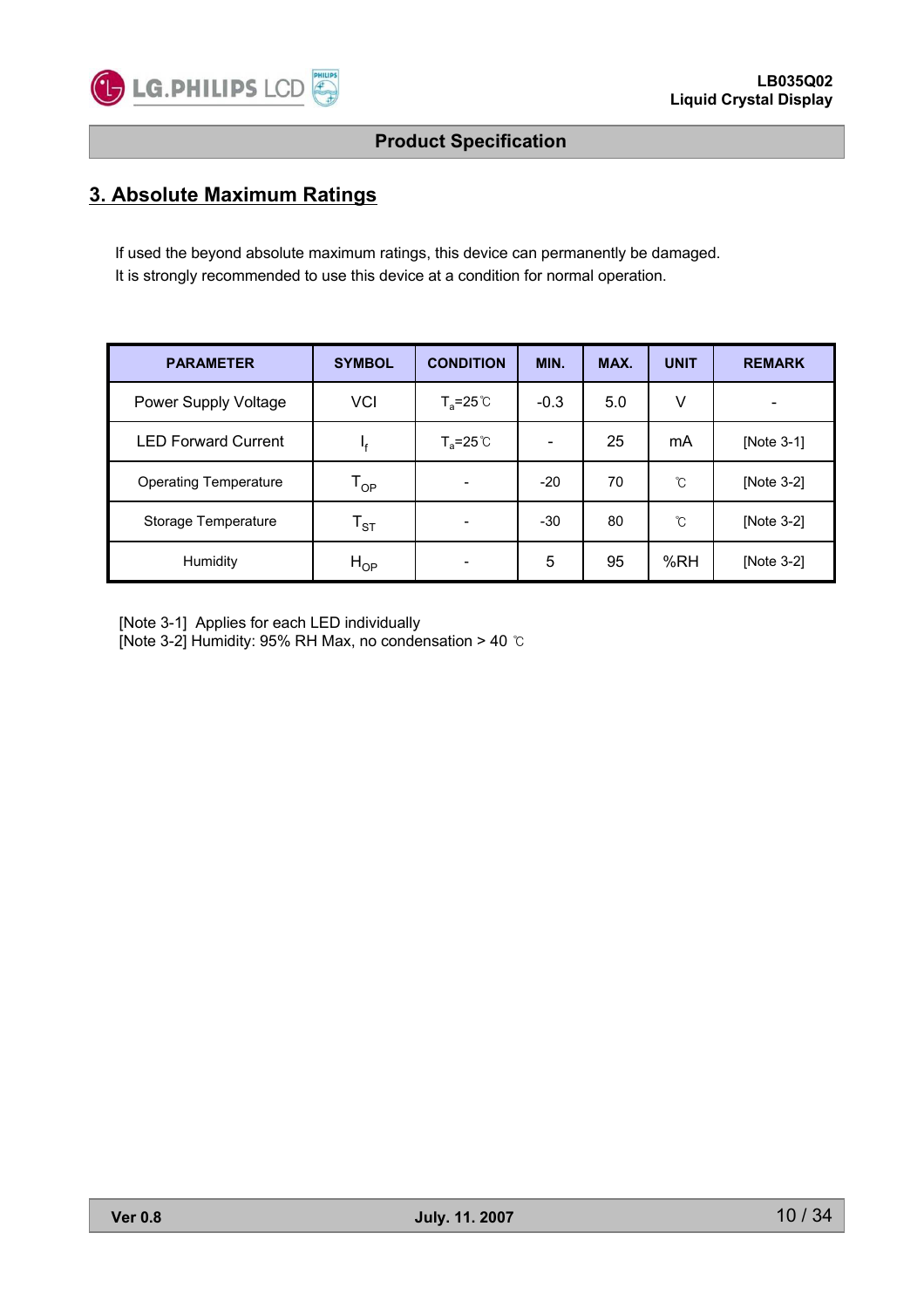

### **3. Absolute Maximum Ratings**

If used the beyond absolute maximum ratings, this device can permanently be damaged. It is strongly recommended to use this device at a condition for normal operation.

| <b>PARAMETER</b>             | <b>SYMBOL</b>              | <b>CONDITION</b>     | MIN.                         | MAX. | <b>UNIT</b> | <b>REMARK</b>            |
|------------------------------|----------------------------|----------------------|------------------------------|------|-------------|--------------------------|
| Power Supply Voltage         | <b>VCI</b>                 | $T_a = 25^{\circ}$ C | $-0.3$                       | 5.0  | v           | $\overline{\phantom{a}}$ |
| <b>LED Forward Current</b>   | ١f                         | $T_a = 25^{\circ}$   | $\qquad \qquad \blacksquare$ | 25   | mA          | [Note 3-1]               |
| <b>Operating Temperature</b> | $\mathsf{T}_{\mathsf{OP}}$ |                      | $-20$                        | 70   | °C          | [Note 3-2]               |
| Storage Temperature          | $\mathsf{T}_{\texttt{ST}}$ |                      | $-30$                        | 80   | °C          | [Note 3-2]               |
| Humidity                     | $H_{OP}$                   |                      | 5                            | 95   | %RH         | [Note 3-2]               |

[Note 3-1] Applies for each LED individually

[Note 3-2] Humidity: 95% RH Max, no condensation > 40  $\degree$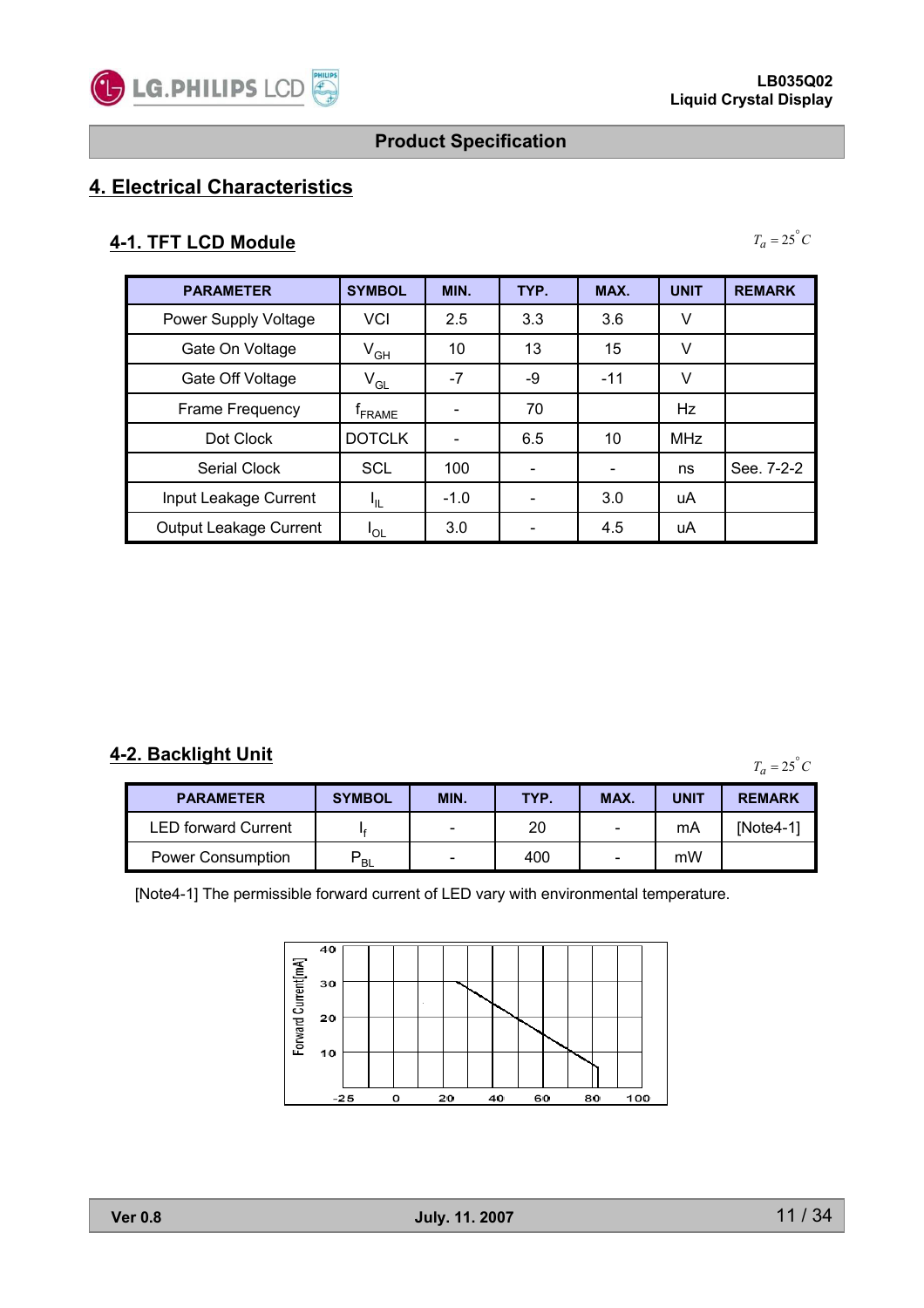

 $T_a = 25^\circ C$ 

### **Product Specification**

# **4. Electrical Characteristics**

### **4-1. TFT LCD Module**

| <b>PARAMETER</b>       | <b>SYMBOL</b>              | MIN.   | TYP. | MAX.                     | <b>UNIT</b> | <b>REMARK</b> |
|------------------------|----------------------------|--------|------|--------------------------|-------------|---------------|
| Power Supply Voltage   | <b>VCI</b>                 | 2.5    | 3.3  | 3.6                      | ٧           |               |
| Gate On Voltage        | $\mathsf{V}_{\mathsf{GH}}$ | 10     | 13   | 15                       | v           |               |
| Gate Off Voltage       | $V_{GL}$                   | $-7$   | -9   | $-11$                    | v           |               |
| Frame Frequency        | <sup>T</sup> FRAME         |        | 70   |                          | Hz          |               |
| Dot Clock              | <b>DOTCLK</b>              |        | 6.5  | 10                       | <b>MHz</b>  |               |
| Serial Clock           | <b>SCL</b>                 | 100    |      | $\overline{\phantom{0}}$ | ns          | See. 7-2-2    |
| Input Leakage Current  | ΗL.                        | $-1.0$ |      | 3.0                      | uA          |               |
| Output Leakage Current | 'OL                        | 3.0    |      | 4.5                      | uA          |               |

#### **4-2. Backlight Unit**

 $T_a = 25^\circ C$ 

| <b>PARAMETER</b>           | <b>SYMBOL</b>  | MIN. | TYP. | MAX.                     | <b>UNIT</b> | <b>REMARK</b> |
|----------------------------|----------------|------|------|--------------------------|-------------|---------------|
| <b>LED forward Current</b> |                | -    | 20   | $\overline{\phantom{0}}$ | mA          | INote4-11     |
| <b>Power Consumption</b>   | D<br><b>BL</b> | -    | 400  | $\overline{\phantom{0}}$ | mW          |               |

[Note4-1] The permissible forward current of LED vary with environmental temperature.

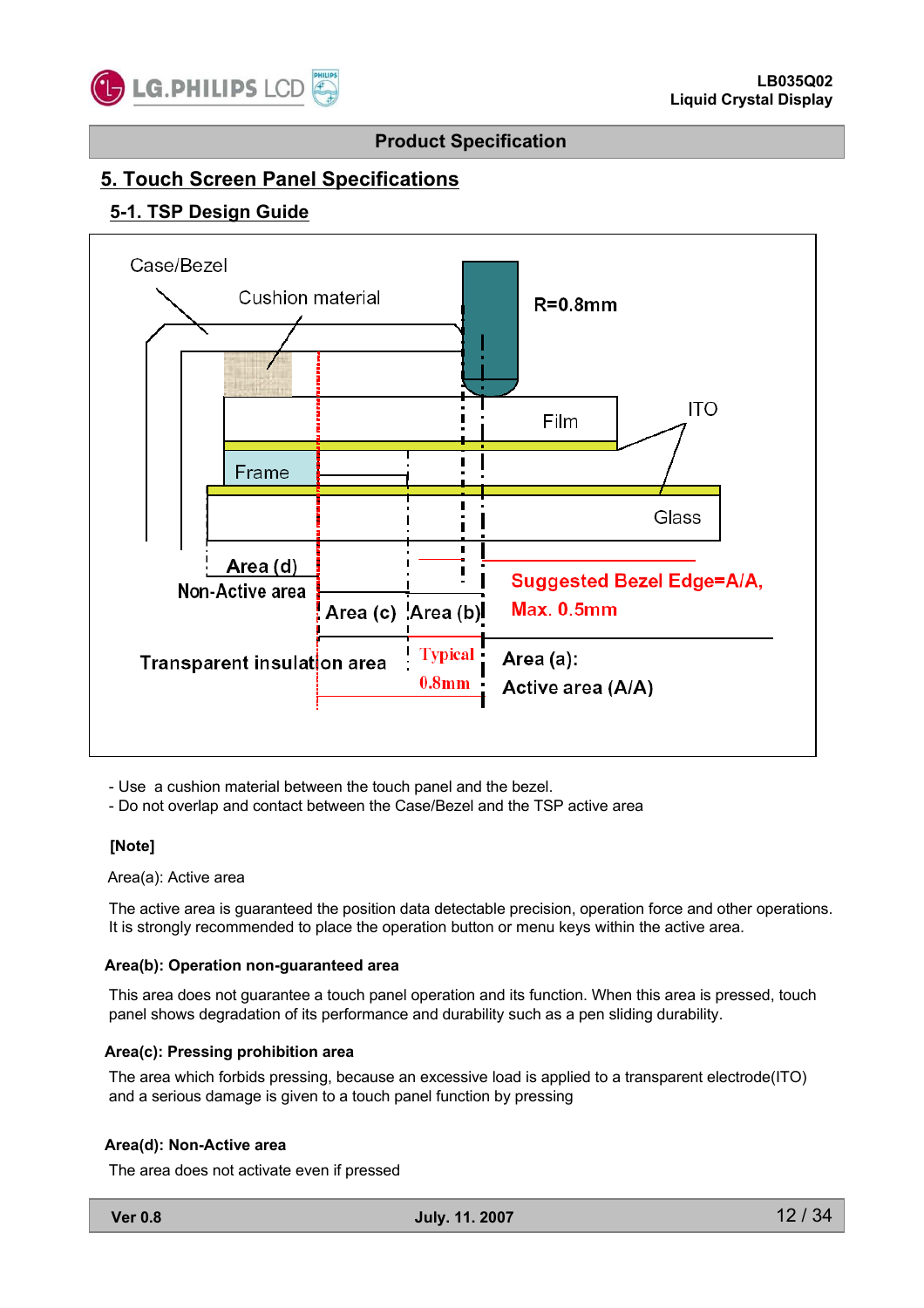

### **5. Touch Screen Panel Specifications**

#### **5-1. TSP Design Guide**



- Use a cushion material between the touch panel and the bezel.

- Do not overlap and contact between the Case/Bezel and the TSP active area

#### **[Note]**

Area(a): Active area

The active area is guaranteed the position data detectable precision, operation force and other operations. It is strongly recommended to place the operation button or menu keys within the active area.

#### **Area(b): Operation non-guaranteed area**

This area does not guarantee a touch panel operation and its function. When this area is pressed, touch panel shows degradation of its performance and durability such as a pen sliding durability.

#### **Area(c): Pressing prohibition area**

The area which forbids pressing, because an excessive load is applied to a transparent electrode(ITO) and a serious damage is given to a touch panel function by pressing

#### **Area(d): Non-Active area**

The area does not activate even if pressed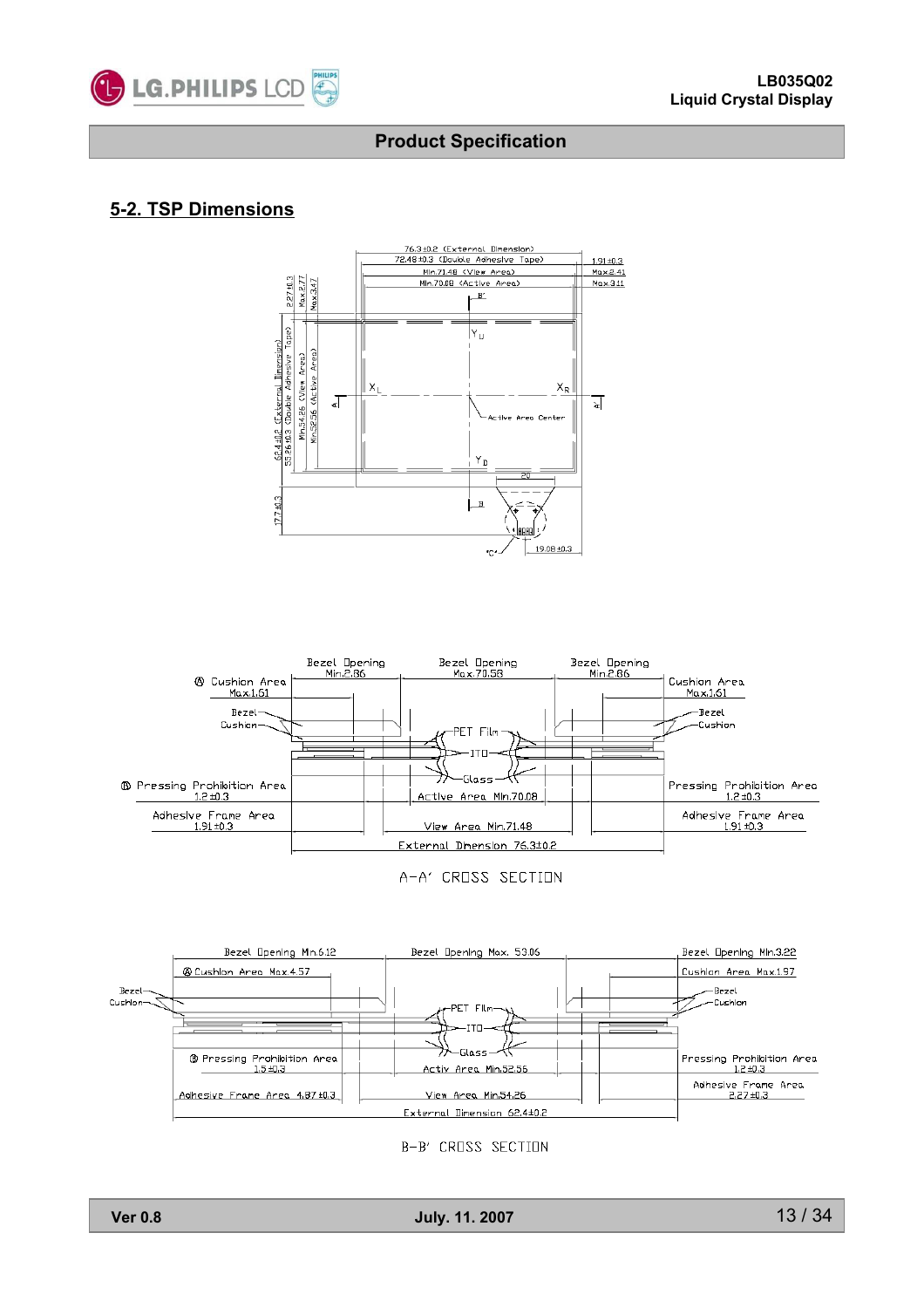

#### **5-2. TSP Dimensions**





A-A' CROSS SECTION



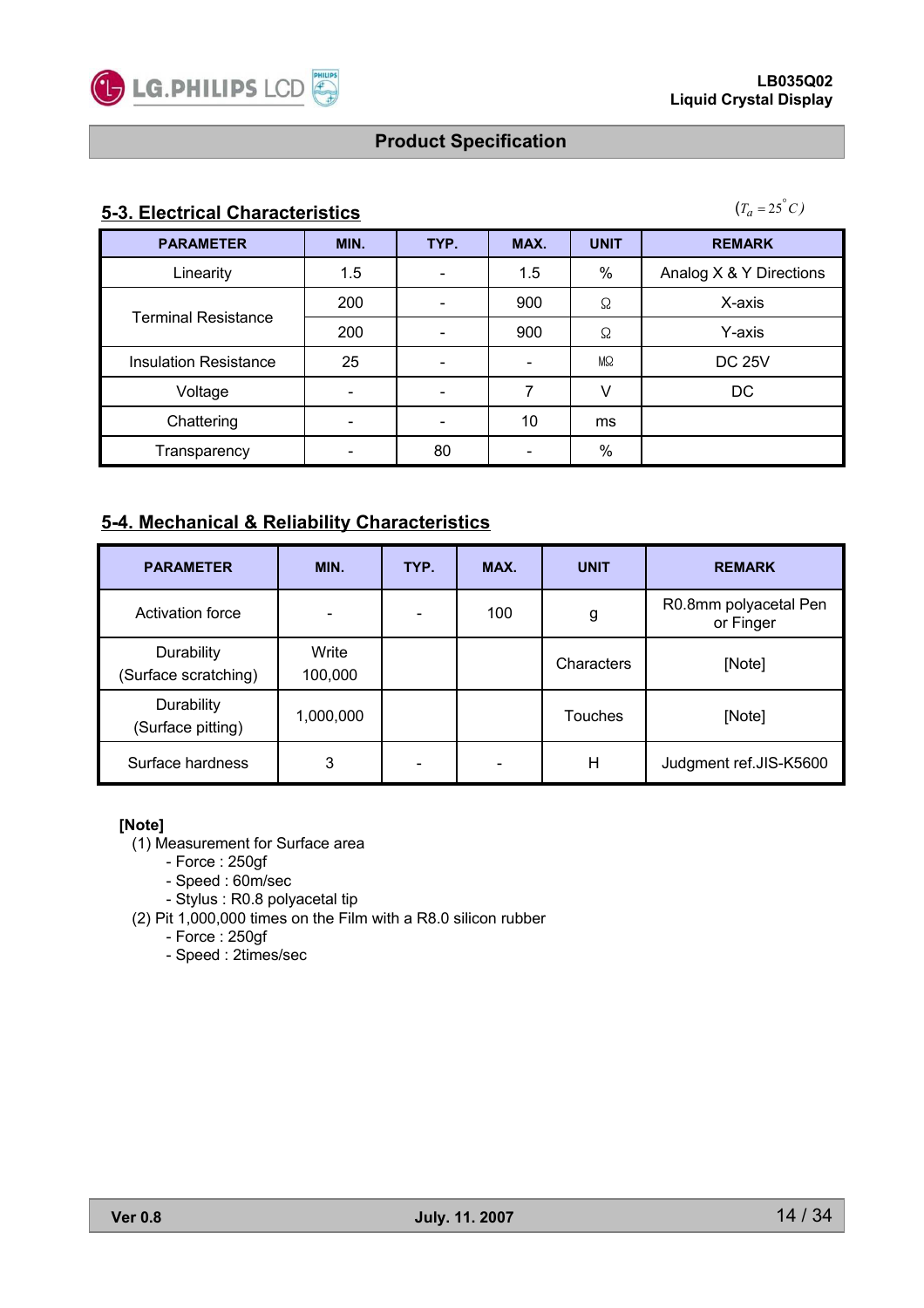

### **5-3. Electrical Characteristics**

 $(T_a = 25^\circ C)$ 

| <b>PARAMETER</b>             | MIN. | TYP.                     | MAX. | <b>UNIT</b> | <b>REMARK</b>           |
|------------------------------|------|--------------------------|------|-------------|-------------------------|
| Linearity                    | 1.5  | $\overline{\phantom{a}}$ | 1.5  | %           | Analog X & Y Directions |
|                              | 200  | -                        | 900  | Ω           | X-axis                  |
| <b>Terminal Resistance</b>   | 200  |                          | 900  | Ω           | Y-axis                  |
| <b>Insulation Resistance</b> | 25   | $\overline{\phantom{a}}$ |      | MΩ          | <b>DC 25V</b>           |
| Voltage                      |      | $\overline{\phantom{a}}$ |      |             | DC                      |
| Chattering                   |      |                          | 10   | ms          |                         |
| Transparency                 |      | 80                       |      | $\%$        |                         |

### **5-4. Mechanical & Reliability Characteristics**

| <b>PARAMETER</b>                   | MIN.             | TYP. | MAX. | <b>UNIT</b>    | <b>REMARK</b>                      |
|------------------------------------|------------------|------|------|----------------|------------------------------------|
| Activation force                   |                  |      | 100  | g              | R0.8mm polyacetal Pen<br>or Finger |
| Durability<br>(Surface scratching) | Write<br>100,000 |      |      | Characters     | [Note]                             |
| Durability<br>(Surface pitting)    | 1,000,000        |      |      | <b>Touches</b> | [Note]                             |
| Surface hardness                   | 3                |      |      | н              | Judgment ref.JIS-K5600             |

#### **[Note]**

- (1) Measurement for Surface area
	- Force : 250gf
	- Speed : 60m/sec
	- Stylus : R0.8 polyacetal tip
- (2) Pit 1,000,000 times on the Film with a R8.0 silicon rubber
	- Force : 250gf
	- Speed : 2times/sec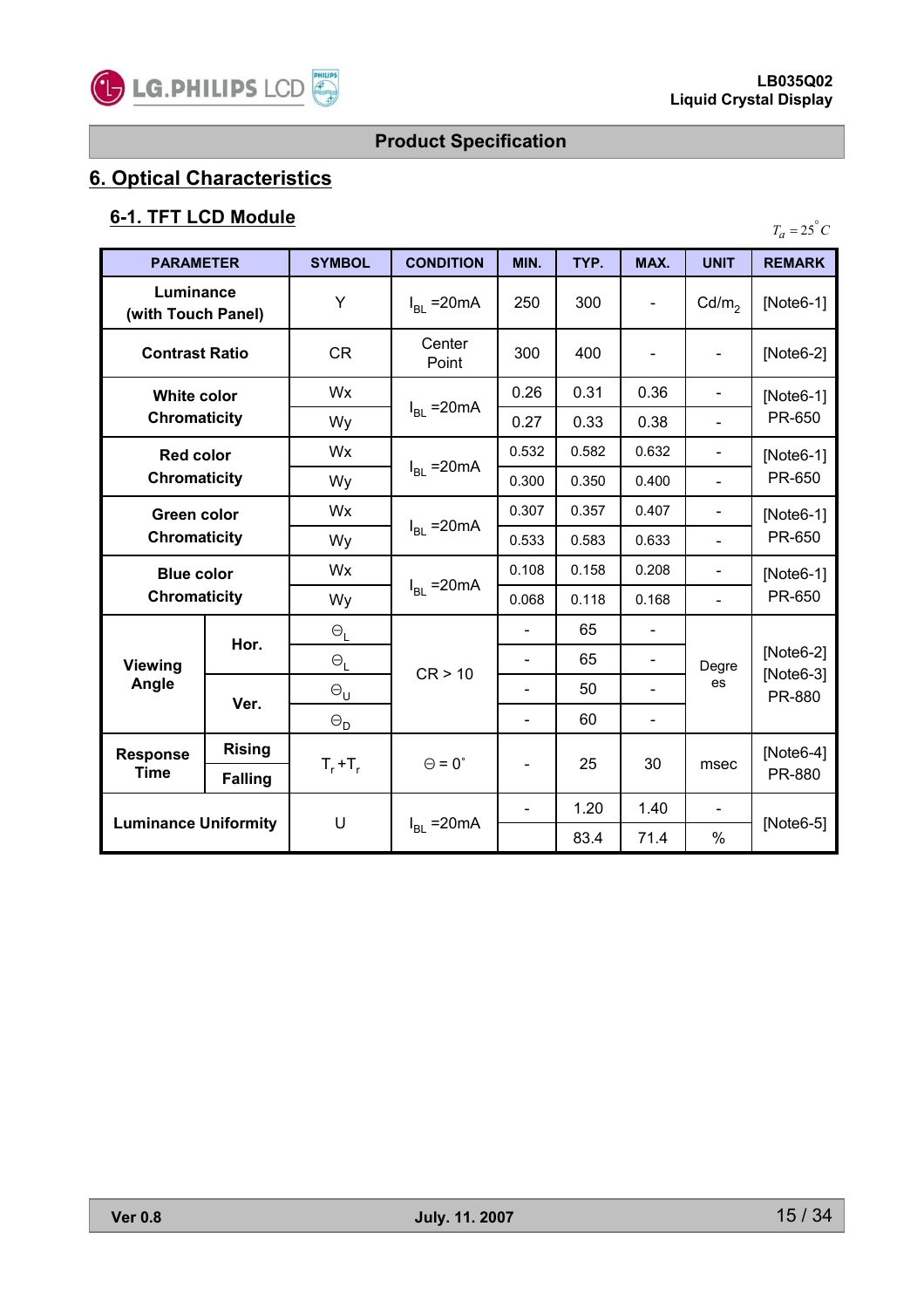

# **6. Optical Characteristics**

# **6-1. TFT LCD Module**

| <b>PARAMETER</b>                          |                | <b>SYMBOL</b>         | <b>CONDITION</b>     | MIN.           | TYP.  | MAX.                     | <b>UNIT</b>                  | <b>REMARK</b>                      |
|-------------------------------------------|----------------|-----------------------|----------------------|----------------|-------|--------------------------|------------------------------|------------------------------------|
| Luminance<br>(with Touch Panel)           |                | Υ                     | $I_{BL}$ = 20 mA     | 250            | 300   |                          | Cd/m <sub>2</sub>            | $[Note6-1]$                        |
| <b>Contrast Ratio</b>                     |                | <b>CR</b>             | Center<br>Point      | 300            | 400   |                          | $\qquad \qquad \blacksquare$ | [Note6-2]                          |
| <b>White color</b>                        |                | Wx                    |                      | 0.26           | 0.31  | 0.36                     |                              | [Note6-1]                          |
| <b>Chromaticity</b>                       |                | Wy                    | $I_{BL}$ = 20 mA     | 0.27           | 0.33  | 0.38                     | $\overline{\phantom{0}}$     | PR-650                             |
| <b>Red color</b>                          |                | Wx                    |                      | 0.532          | 0.582 | 0.632                    | $\qquad \qquad \blacksquare$ | [Note6-1]                          |
| <b>Chromaticity</b>                       |                | Wy                    | $I_{BL}$ = 20 mA     | 0.300          | 0.350 | 0.400                    |                              | PR-650                             |
| <b>Green color</b><br><b>Chromaticity</b> |                | Wx                    |                      | 0.307          | 0.357 | 0.407                    |                              | [Note6-1]<br>PR-650                |
|                                           |                | Wy                    | $I_{BL}$ = 20 mA     | 0.533          | 0.583 | 0.633                    |                              |                                    |
| <b>Blue color</b>                         |                | Wx                    |                      | 0.108          | 0.158 | 0.208                    | $\blacksquare$               | $[Note6-1]$                        |
| <b>Chromaticity</b>                       |                | Wy                    | $I_{BL}$ = 20 mA     | 0.068          | 0.118 | 0.168                    |                              | PR-650                             |
|                                           |                | $\Theta_\mathsf{L}$   |                      | $\blacksquare$ | 65    |                          |                              |                                    |
| <b>Viewing</b>                            | Hor.           | $\Theta_\mathsf{L}$   | CR > 10              |                | 65    | $\blacksquare$           | Degre<br>es                  | [Note6-2]<br>$[Note6-3]$<br>PR-880 |
| Angle                                     | Ver.           | $\Theta_{\sf U}$      |                      | $\blacksquare$ | 50    | -                        |                              |                                    |
|                                           |                | $\Theta_{\mathsf{D}}$ |                      | $\blacksquare$ | 60    | $\overline{\phantom{a}}$ |                              |                                    |
| <b>Rising</b><br><b>Response</b>          |                |                       | $\Theta = 0^{\circ}$ |                |       |                          |                              | $[Note6-4]$                        |
| <b>Time</b>                               | <b>Falling</b> | $T_r + T_r$           |                      | $\blacksquare$ | 25    | 30                       | msec                         | PR-880                             |
|                                           |                |                       |                      | $\blacksquare$ | 1.20  | 1.40                     |                              |                                    |
| <b>Luminance Uniformity</b>               |                | U                     | $I_{BL}$ = 20 mA     |                | 83.4  | 71.4                     | $\%$                         | $[Note6-5]$                        |

 $T_a = 25^\circ C$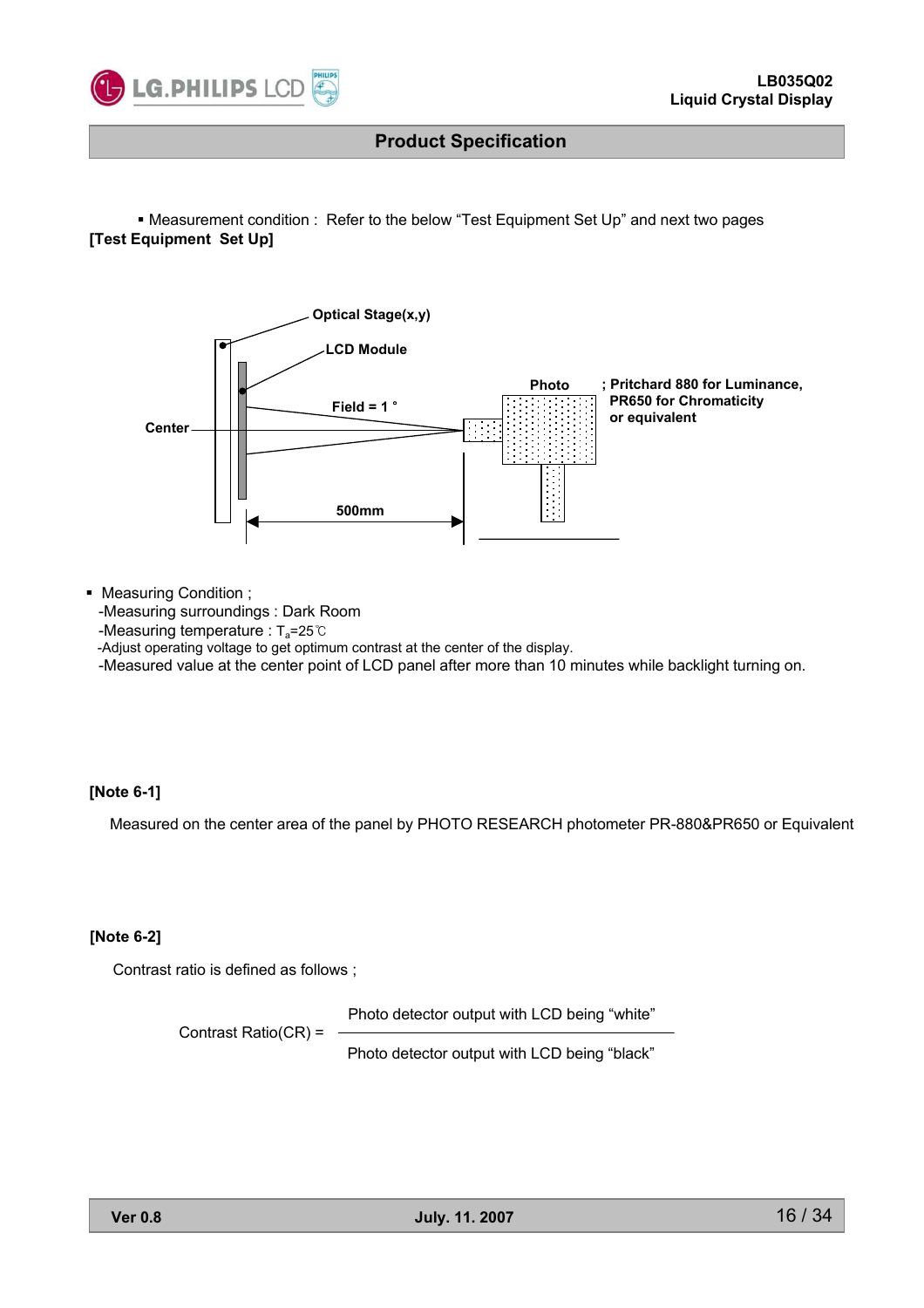

 Measurement condition : Refer to the below "Test Equipment Set Up" and next two pages **[Test Equipment Set Up]**



Measuring Condition ;

-Measuring surroundings : Dark Room

-Measuring temperature :  $T_a = 25^\circ \text{C}$ 

-Adjust operating voltage to get optimum contrast at the center of the display.

-Measured value at the center point of LCD panel after more than 10 minutes while backlight turning on.

#### **[Note 6-1]**

Measured on the center area of the panel by PHOTO RESEARCH photometer PR-880&PR650 or Equivalent

#### **[Note 6-2]**

Contrast ratio is defined as follows ;

Photo detector output with LCD being "white"

Contrast Ratio(CR) =

Photo detector output with LCD being "black"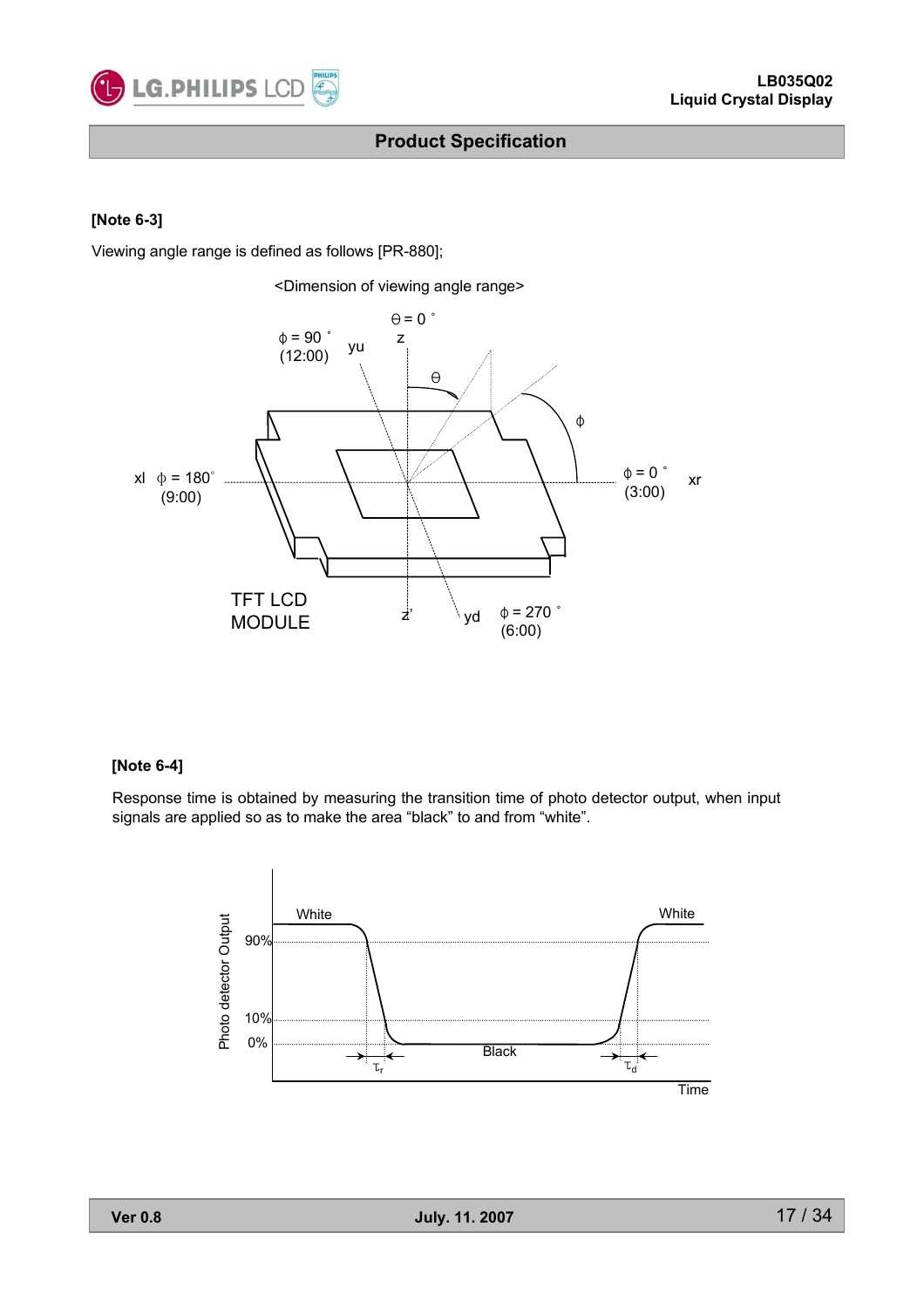

#### **[Note 6-3]**

Viewing angle range is defined as follows [PR-880];



#### **[Note 6-4]**

Response time is obtained by measuring the transition time of photo detector output, when input signals are applied so as to make the area "black" to and from "white".

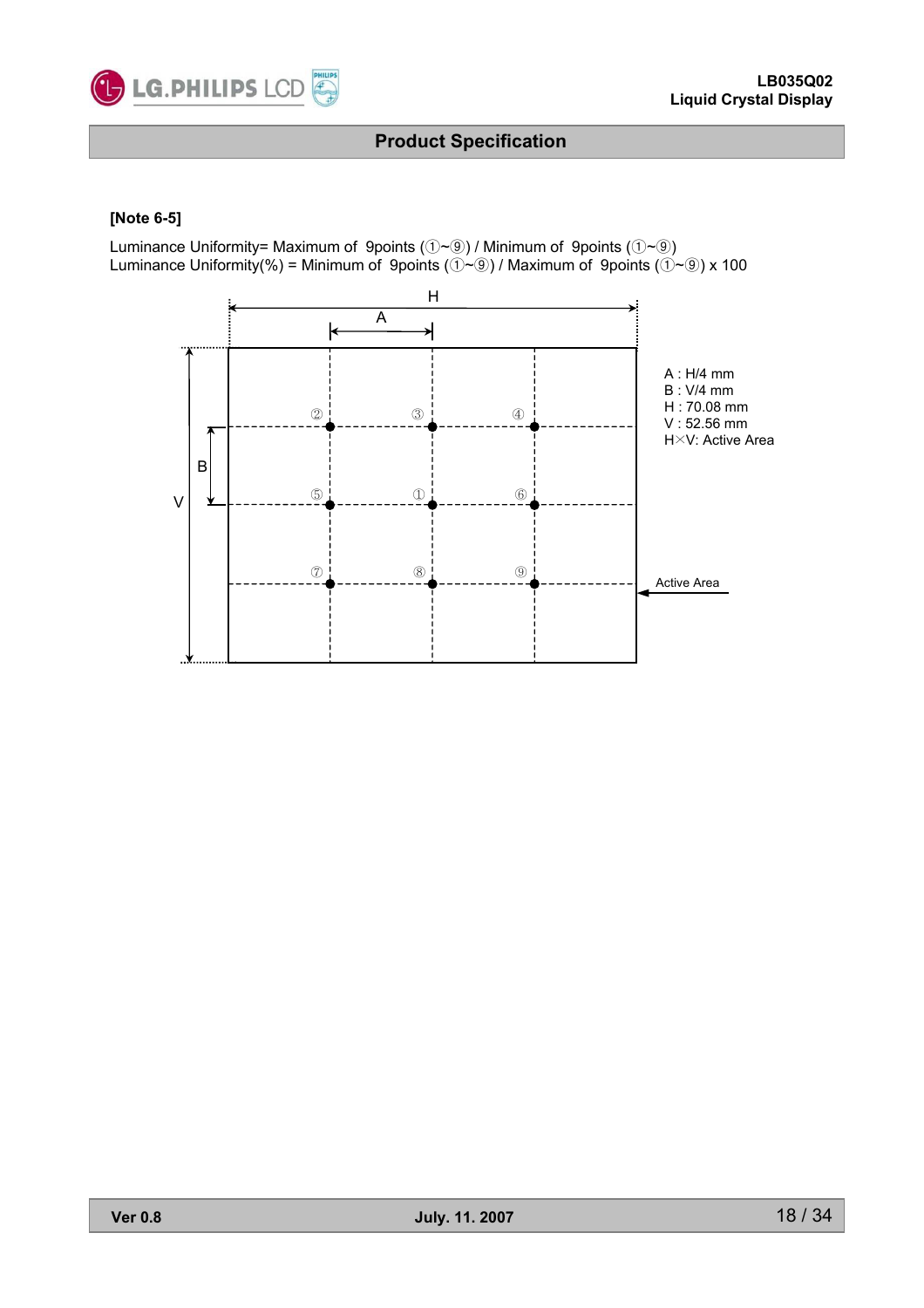

#### **[Note 6-5]**

Luminance Uniformity= Maximum of 9points  $(\hat{U} \sim \hat{Q})$  / Minimum of 9points  $(\hat{U} \sim \hat{Q})$ Luminance Uniformity(%) = Minimum of 9points ( $\vec{Q}$ ~ $\vec{Q}$ ) / Maximum of 9points ( $\vec{Q}$ ~ $\vec{Q}$ ) x 100

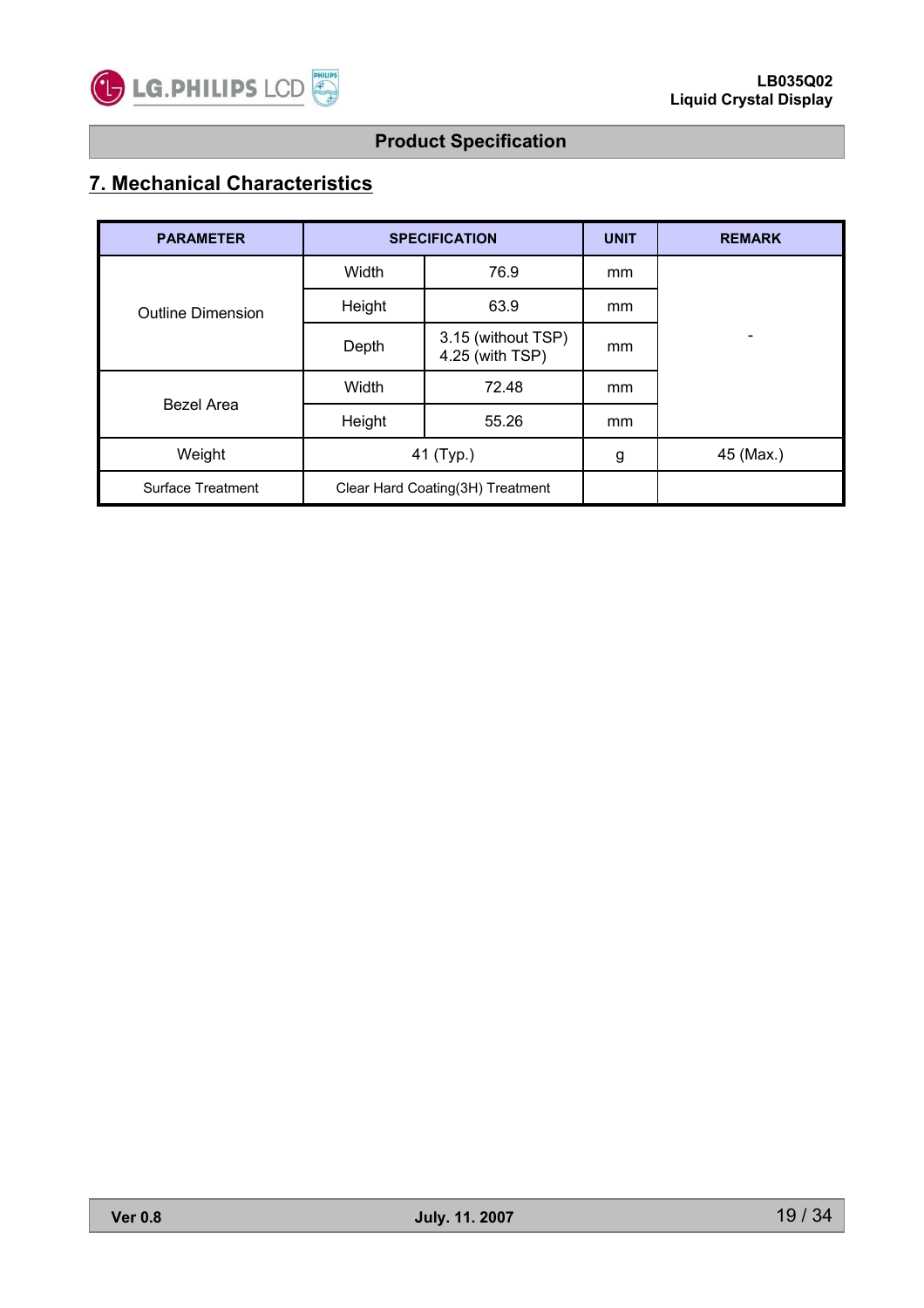

# **7. Mechanical Characteristics**

| <b>PARAMETER</b>         |           | <b>SPECIFICATION</b>                  | <b>UNIT</b> | <b>REMARK</b> |
|--------------------------|-----------|---------------------------------------|-------------|---------------|
| <b>Outline Dimension</b> | Width     | 76.9                                  | mm          |               |
|                          | Height    | 63.9                                  | mm          |               |
|                          | Depth     | 3.15 (without TSP)<br>4.25 (with TSP) | mm          | -             |
|                          | Width     | 72.48                                 | mm          |               |
| <b>Bezel Area</b>        | Height    | 55.26                                 | mm          |               |
| Weight                   | 41 (Typ.) |                                       | g           | 45 (Max.)     |
| Surface Treatment        |           | Clear Hard Coating(3H) Treatment      |             |               |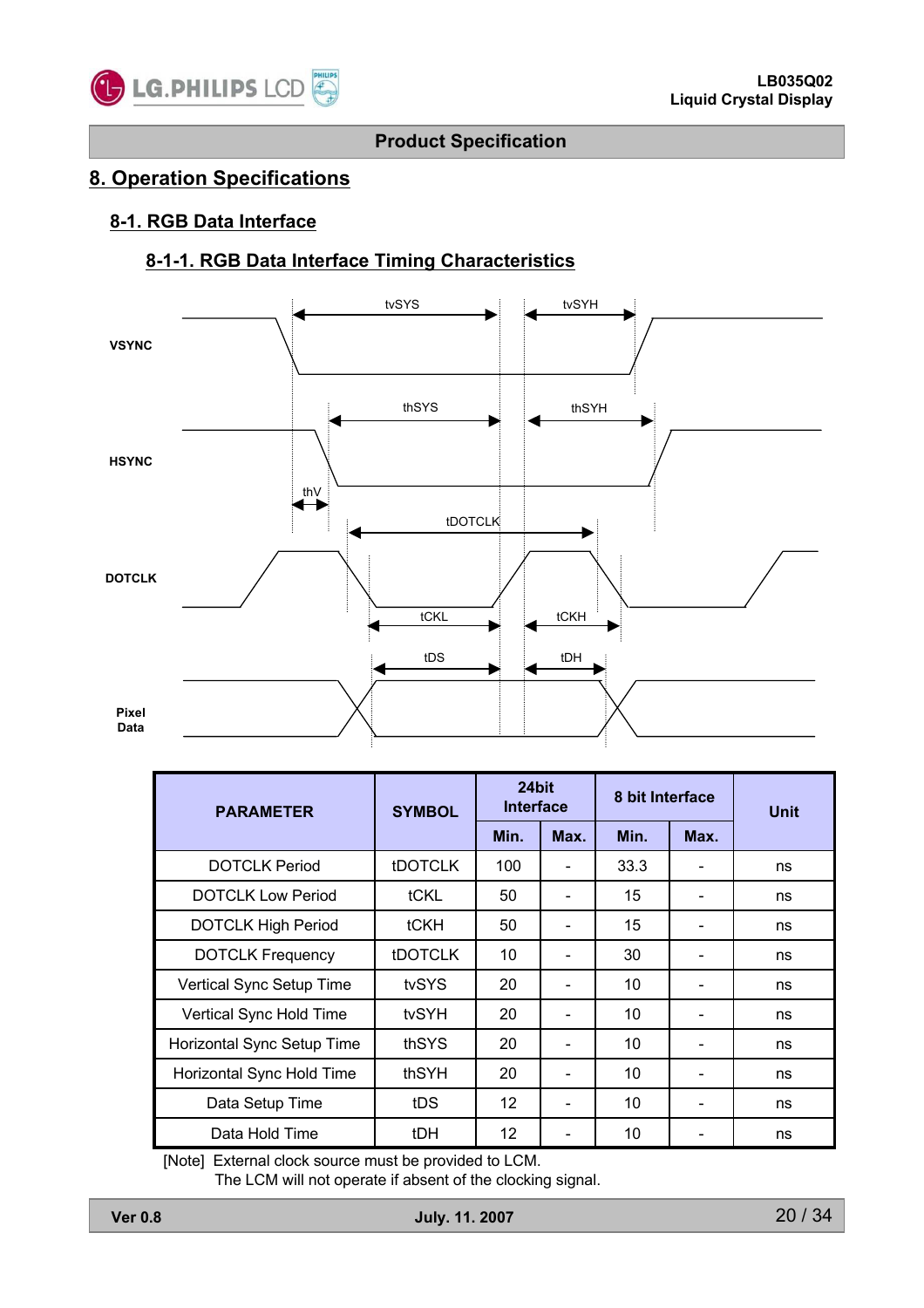

### **8. Operation Specifications**

#### **8-1. RGB Data Interface**

### **8-1-1. RGB Data Interface Timing Characteristics**



| <b>PARAMETER</b>           | <b>SYMBOL</b>  | 24bit<br><b>Interface</b> |      | 8 bit Interface |      | <b>Unit</b> |
|----------------------------|----------------|---------------------------|------|-----------------|------|-------------|
|                            |                | Min.                      | Max. | Min.            | Max. |             |
| <b>DOTCLK Period</b>       | <b>tDOTCLK</b> | 100                       |      | 33.3            |      | ns          |
| <b>DOTCLK Low Period</b>   | tCKL           | 50                        |      | 15              |      | ns          |
| <b>DOTCLK High Period</b>  | tCKH           | 50                        |      | 15              |      | ns          |
| <b>DOTCLK Frequency</b>    | <b>tDOTCLK</b> | 10                        |      | 30              |      | ns          |
| Vertical Sync Setup Time   | tvSYS          | 20                        |      | 10              |      | ns          |
| Vertical Sync Hold Time    | tvSYH          | 20                        |      | 10              |      | ns          |
| Horizontal Sync Setup Time | thSYS          | 20                        |      | 10              |      | ns          |
| Horizontal Sync Hold Time  | thSYH          | 20                        |      | 10              |      | ns          |
| Data Setup Time            | tDS            | $12 \overline{ }$         |      | 10              |      | ns          |
| Data Hold Time             | tDH            | $12 \overline{ }$         |      | 10              |      | ns          |

[Note] External clock source must be provided to LCM.

The LCM will not operate if absent of the clocking signal.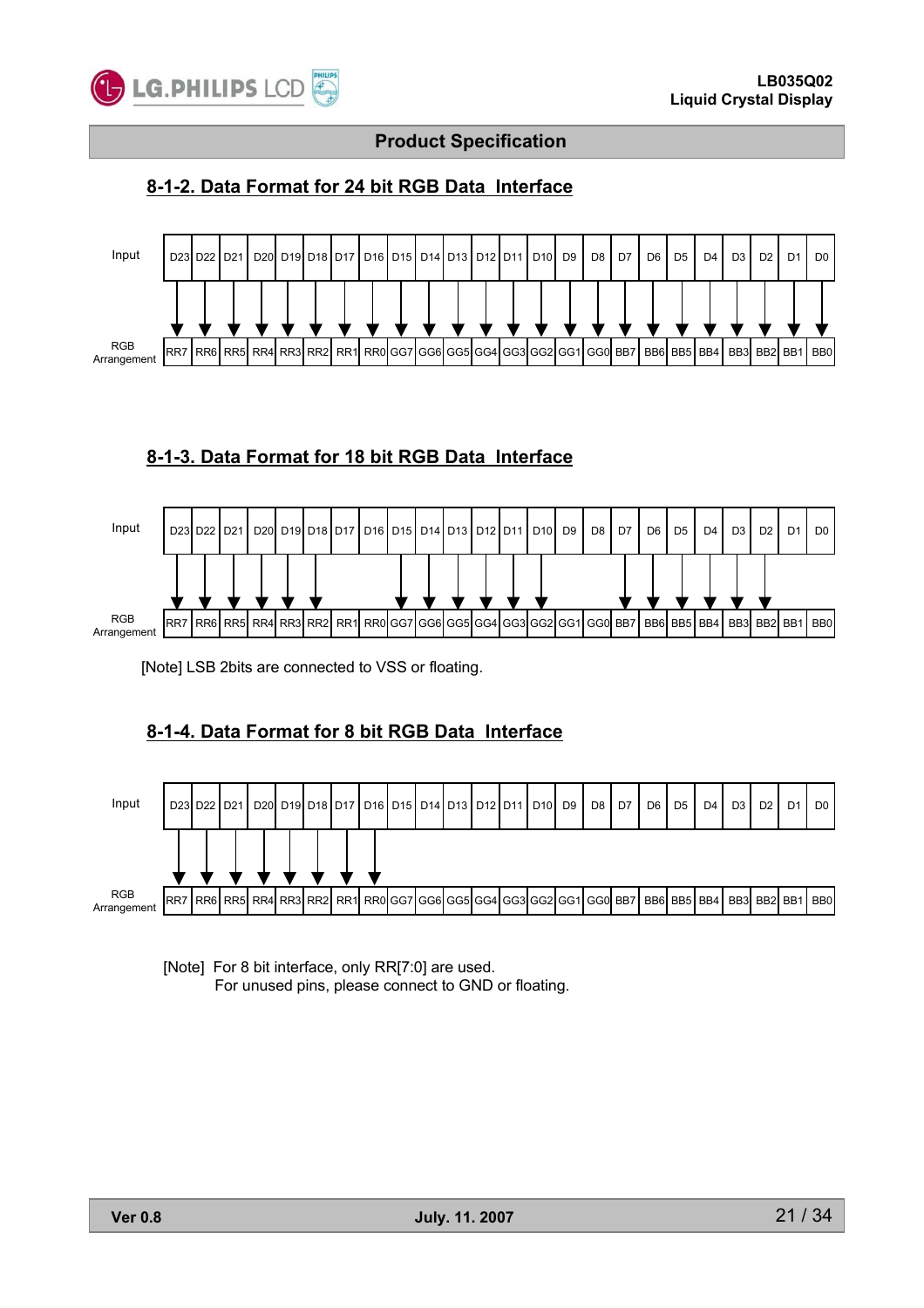

### **8-1-2. Data Format for 24 bit RGB Data Interface**



#### **8-1-3. Data Format for 18 bit RGB Data Interface**



[Note] LSB 2bits are connected to VSS or floating.

### **8-1-4. Data Format for 8 bit RGB Data Interface**



[Note] For 8 bit interface, only RR[7:0] are used. For unused pins, please connect to GND or floating.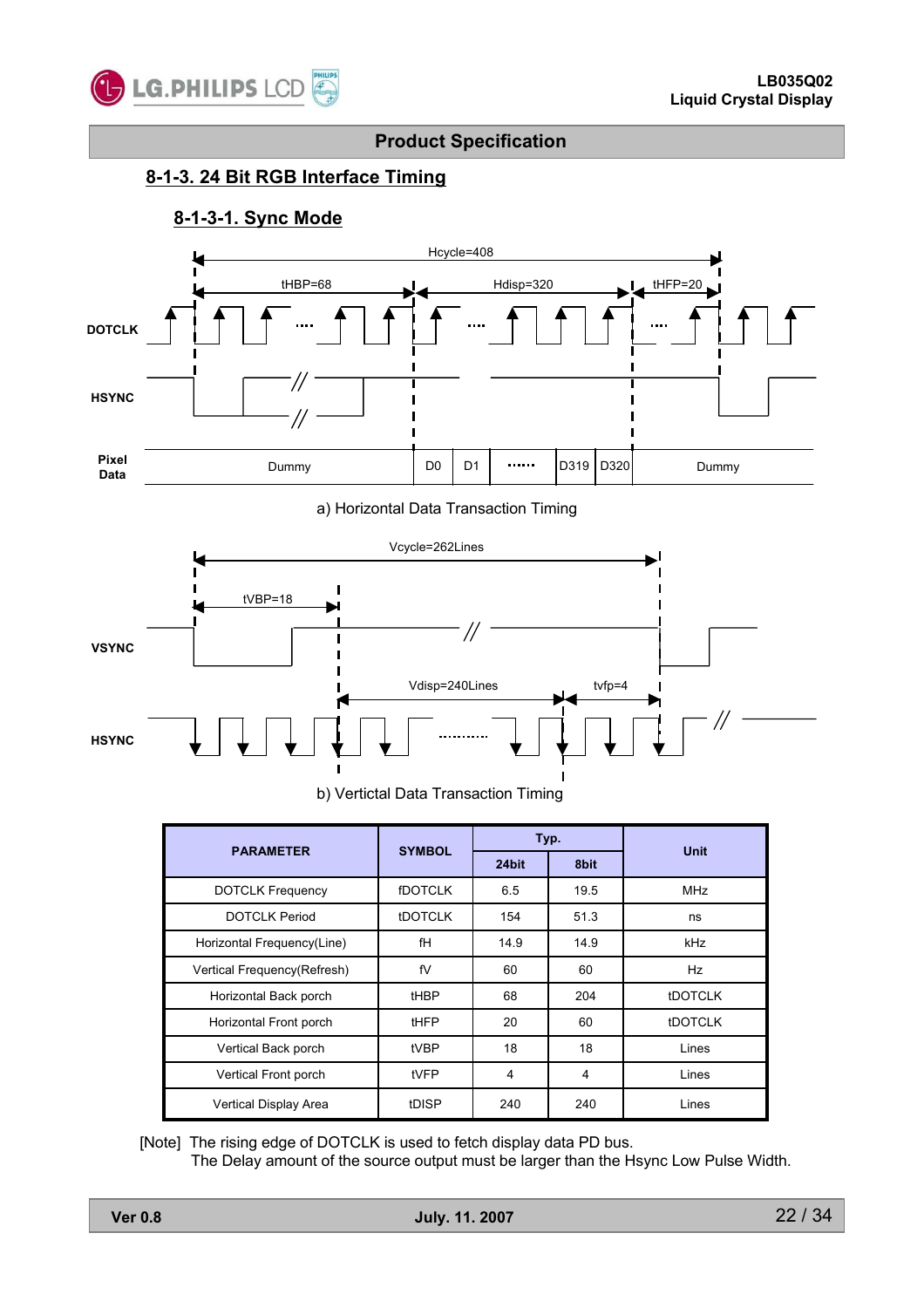

#### **8-1-3. 24 Bit RGB Interface Timing**

### **8-1-3-1. Sync Mode**



a) Horizontal Data Transaction Timing



b) Vertictal Data Transaction Timing

| <b>PARAMETER</b>            | <b>SYMBOL</b>  | Typ.  |      | <b>Unit</b>    |  |
|-----------------------------|----------------|-------|------|----------------|--|
|                             |                | 24bit | 8bit |                |  |
| <b>DOTCLK Frequency</b>     | <b>fDOTCLK</b> | 6.5   | 19.5 | <b>MHz</b>     |  |
| <b>DOTCLK Period</b>        | <b>tDOTCLK</b> | 154   | 51.3 | ns             |  |
| Horizontal Frequency(Line)  | fH             | 14.9  | 14.9 | kHz            |  |
| Vertical Frequency(Refresh) | fV             | 60    | 60   | <b>Hz</b>      |  |
| Horizontal Back porch       | <b>tHBP</b>    | 68    | 204  | <b>IDOTCLK</b> |  |
| Horizontal Front porch      | tHFP           | 20    | 60   | <b>IDOTCLK</b> |  |
| Vertical Back porch         | tVBP           | 18    | 18   | Lines          |  |
| Vertical Front porch        | tVFP           | 4     | 4    | Lines          |  |
| Vertical Display Area       | tDISP          | 240   | 240  | Lines          |  |

[Note] The rising edge of DOTCLK is used to fetch display data PD bus.

The Delay amount of the source output must be larger than the Hsync Low Pulse Width.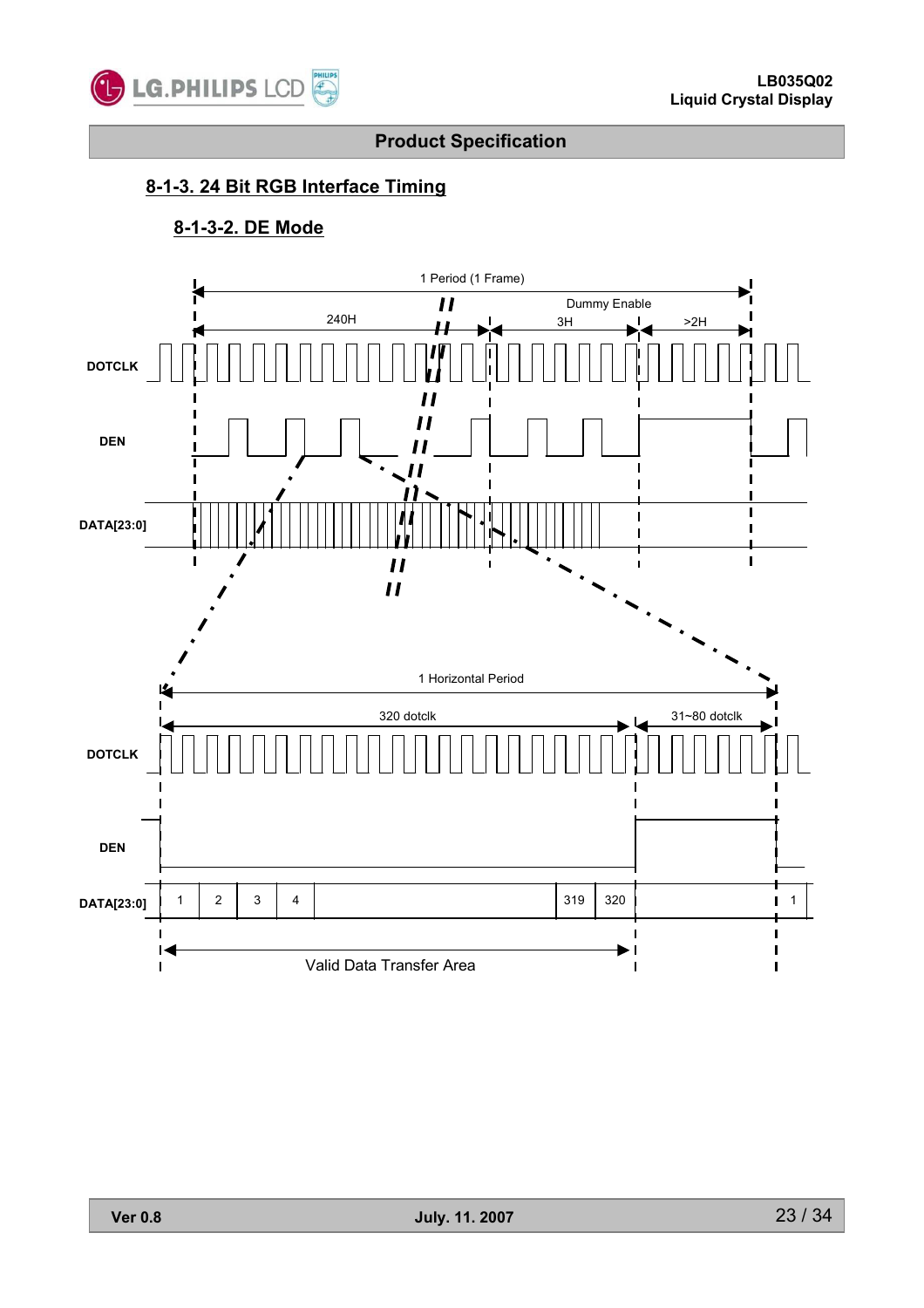

# **8-1-3. 24 Bit RGB Interface Timing**

### **8-1-3-2. DE Mode**

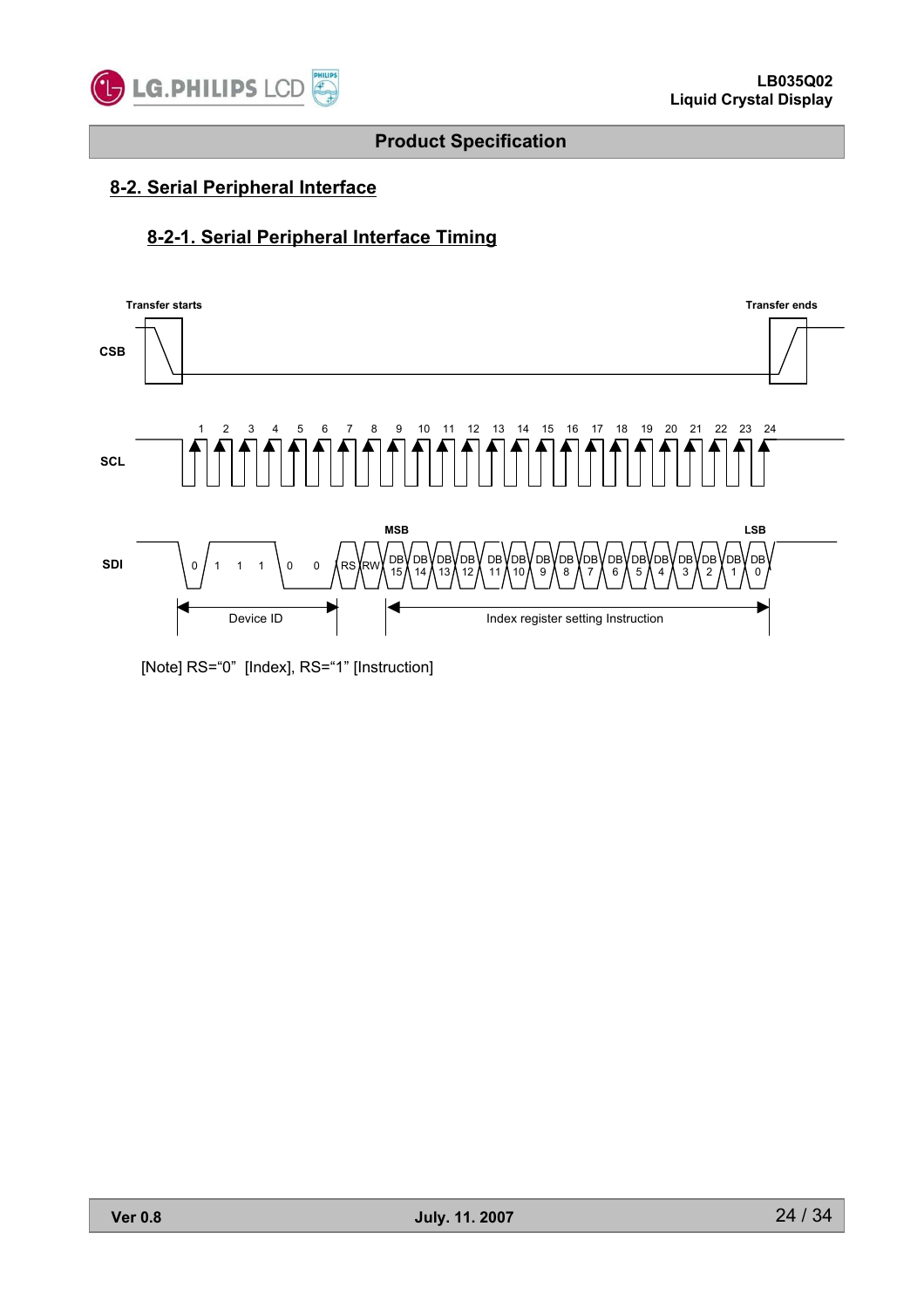

### **8-2. Serial Peripheral Interface**

### **8-2-1. Serial Peripheral Interface Timing**



[Note] RS="0" [Index], RS="1" [Instruction]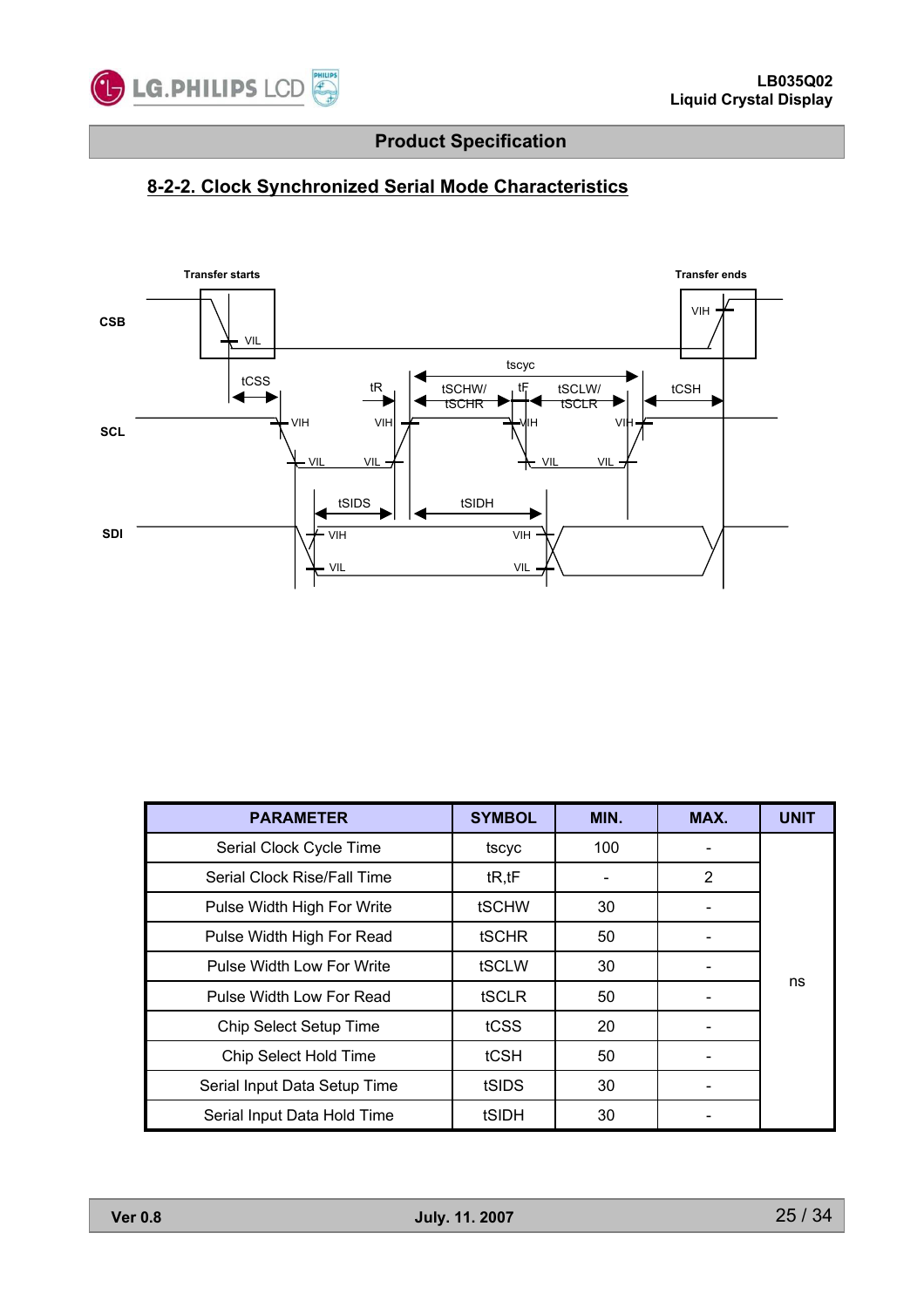

# **8-2-2. Clock Synchronized Serial Mode Characteristics**



| <b>PARAMETER</b>             | <b>SYMBOL</b> | MIN. | MAX. | <b>UNIT</b> |
|------------------------------|---------------|------|------|-------------|
| Serial Clock Cycle Time      | tscyc         | 100  |      |             |
| Serial Clock Rise/Fall Time  | tR, tF        |      | 2    |             |
| Pulse Width High For Write   | tSCHW         | 30   |      |             |
| Pulse Width High For Read    | <b>tSCHR</b>  | 50   |      |             |
| Pulse Width Low For Write    | tSCLW         | 30   |      |             |
| Pulse Width Low For Read     | <b>tSCLR</b>  | 50   |      | ns          |
| Chip Select Setup Time       | tCSS          | 20   |      |             |
| <b>Chip Select Hold Time</b> | tCSH          | 50   |      |             |
| Serial Input Data Setup Time | tSIDS         | 30   |      |             |
| Serial Input Data Hold Time  | tSIDH         | 30   |      |             |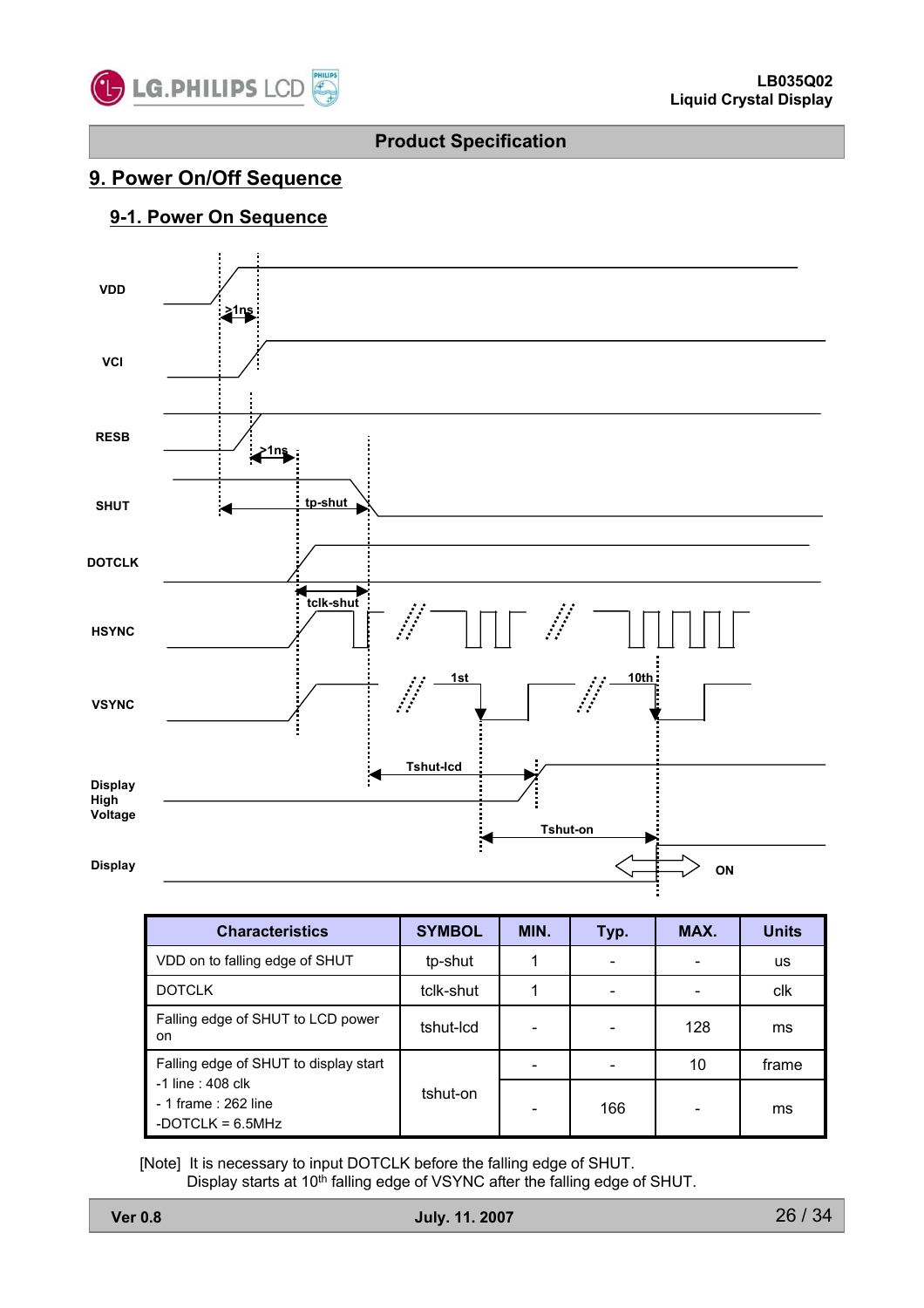

### **9. Power On/Off Sequence**

### **9-1. Power On Sequence**



| <b>Characteristics</b>                                          | <b>SYMBOL</b> | MIN. | Typ. | MAX. | <b>Units</b> |
|-----------------------------------------------------------------|---------------|------|------|------|--------------|
| VDD on to falling edge of SHUT                                  | tp-shut       |      |      |      | us           |
| <b>DOTCLK</b>                                                   | tclk-shut     |      |      |      | clk          |
| Falling edge of SHUT to LCD power<br>on.                        | tshut-Icd     |      |      | 128  | ms           |
| Falling edge of SHUT to display start                           |               |      |      | 10   | frame        |
| -1 line : 408 clk<br>- 1 frame: 262 line<br>-DOTCLK = $6.5$ MHz | tshut-on      |      | 166  |      | ms           |

[Note] It is necessary to input DOTCLK before the falling edge of SHUT. Display starts at 10<sup>th</sup> falling edge of VSYNC after the falling edge of SHUT.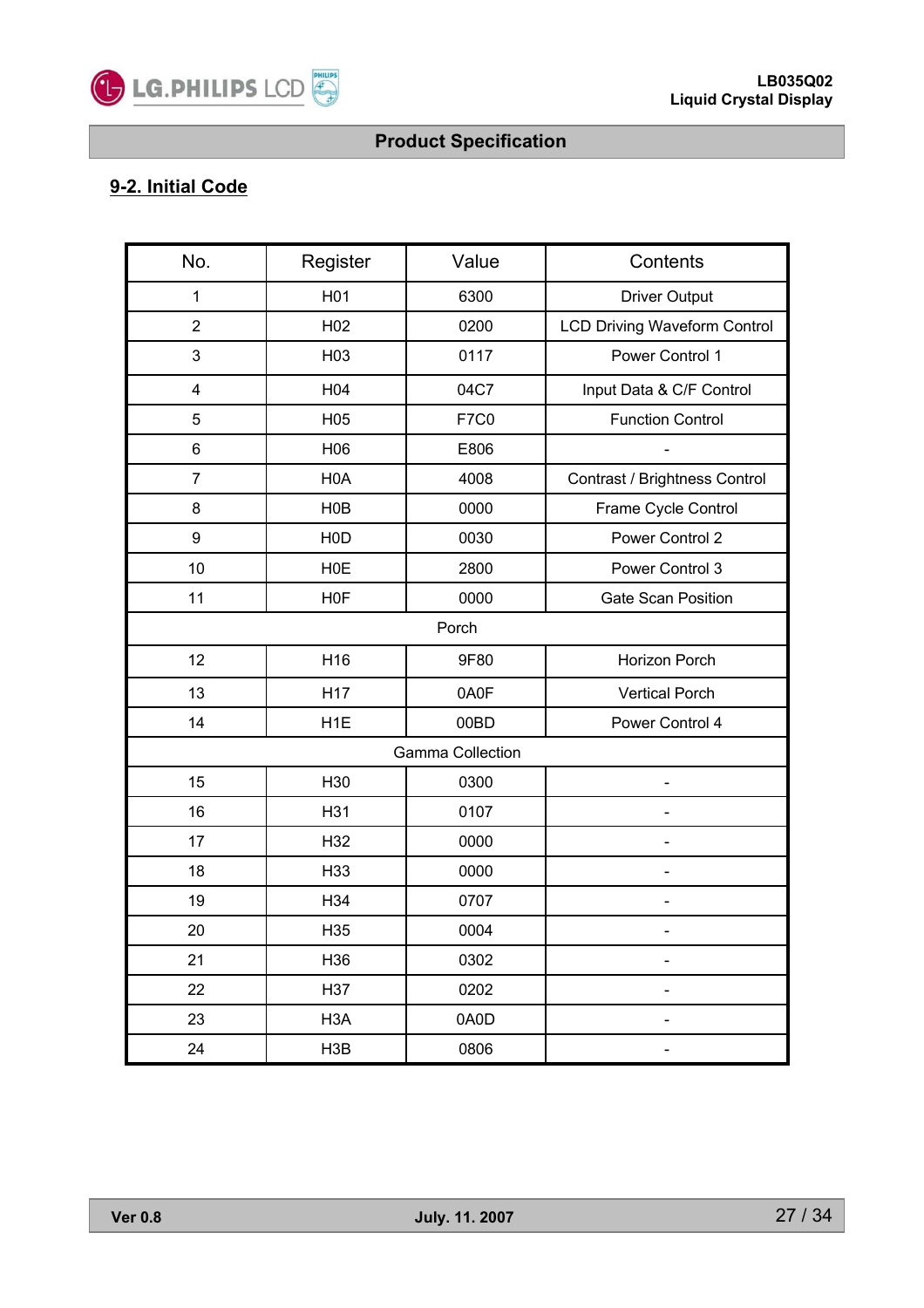

# **9-2. Initial Code**

| No.                     | Register         | Value                   | Contents                            |  |
|-------------------------|------------------|-------------------------|-------------------------------------|--|
| 1                       | H <sub>01</sub>  | 6300                    | <b>Driver Output</b>                |  |
| $\overline{2}$          | H <sub>02</sub>  | 0200                    | <b>LCD Driving Waveform Control</b> |  |
| 3                       | H03              | 0117                    | Power Control 1                     |  |
| $\overline{\mathbf{4}}$ | H04              | 04C7                    | Input Data & C/F Control            |  |
| 5                       | H05              | <b>F7C0</b>             | <b>Function Control</b>             |  |
| 6                       | H06              | E806                    |                                     |  |
| $\overline{7}$          | H <sub>0</sub> A | 4008                    | Contrast / Brightness Control       |  |
| 8                       | HOB              | 0000                    | Frame Cycle Control                 |  |
| 9                       | H <sub>0</sub> D | 0030                    | Power Control 2                     |  |
| 10                      | <b>HOE</b>       | 2800                    | Power Control 3                     |  |
| 11                      | H <sub>0</sub> F | 0000                    | <b>Gate Scan Position</b>           |  |
| Porch                   |                  |                         |                                     |  |
| 12                      | H <sub>16</sub>  | 9F80                    | Horizon Porch                       |  |
| 13                      | H17              | 0A0F                    | <b>Vertical Porch</b>               |  |
| 14                      | H <sub>1</sub> E | 00BD                    | Power Control 4                     |  |
|                         |                  | <b>Gamma Collection</b> |                                     |  |
| 15                      | H30              | 0300                    |                                     |  |
| 16                      | H31              | 0107                    |                                     |  |
| 17                      | H32              | 0000                    |                                     |  |
| 18                      | H33              | 0000                    |                                     |  |
| 19                      | H34              | 0707                    |                                     |  |
| 20                      | H35              | 0004                    |                                     |  |
| 21                      | H36              | 0302                    |                                     |  |
| 22                      | H37              | 0202                    |                                     |  |
| 23                      | H <sub>3</sub> A | 0A0D                    |                                     |  |
| 24                      | H3B              | 0806                    |                                     |  |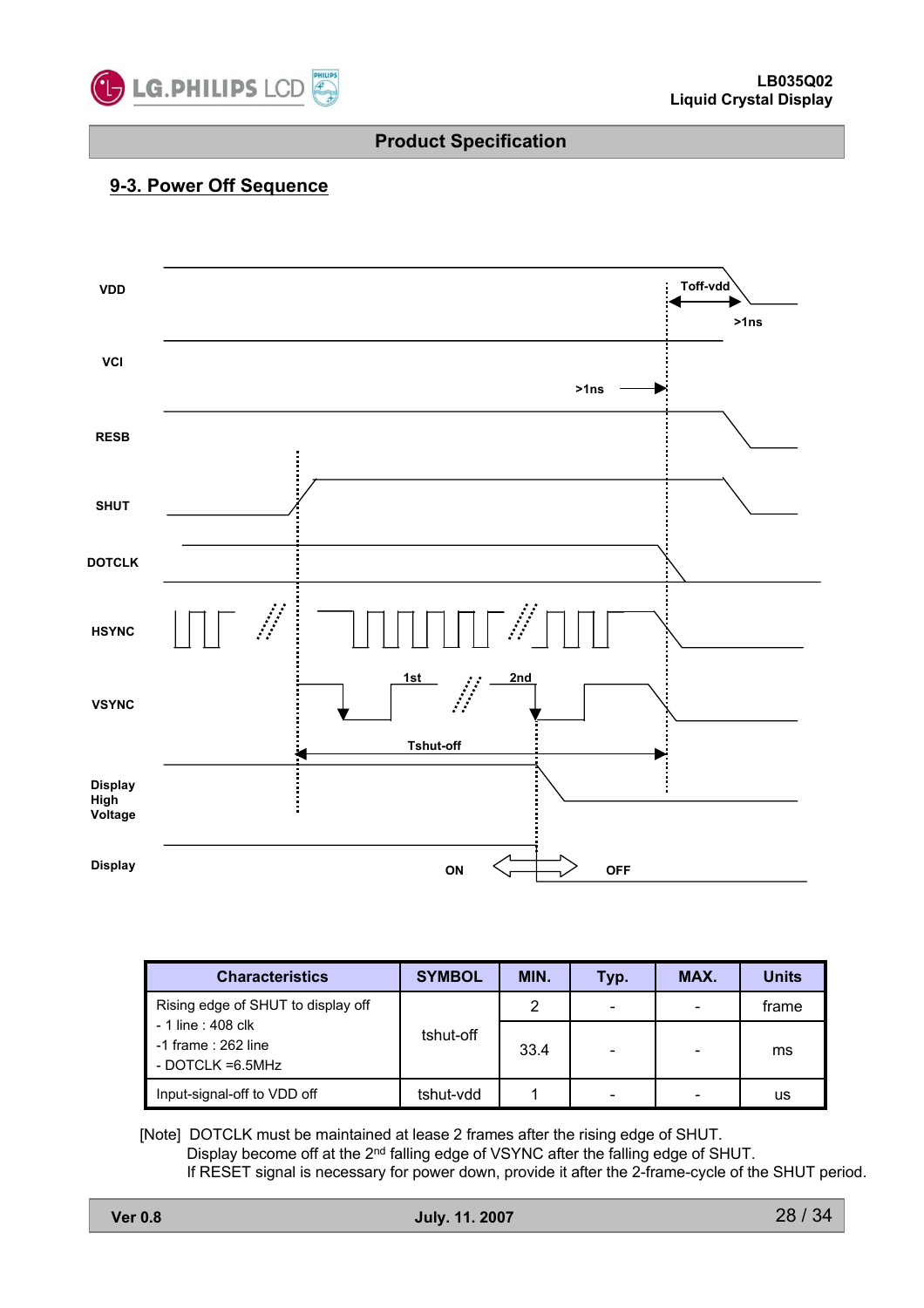

#### **9-3. Power Off Sequence**



| <b>Characteristics</b>                                             | <b>SYMBOL</b> | MIN. | Typ. | MAX.            | <b>Units</b> |
|--------------------------------------------------------------------|---------------|------|------|-----------------|--------------|
| Rising edge of SHUT to display off                                 |               | 2    |      |                 | frame        |
| - 1 line : 408 clk<br>$-1$ frame : 262 line<br>- DOTCLK $=6.5$ MHz | tshut-off     | 33.4 | -    | $\qquad \qquad$ | ms           |
| Input-signal-off to VDD off                                        | tshut-vdd     |      | -    | -               | us           |

[Note] DOTCLK must be maintained at lease 2 frames after the rising edge of SHUT. Display become off at the 2<sup>nd</sup> falling edge of VSYNC after the falling edge of SHUT. If RESET signal is necessary for power down, provide it after the 2-frame-cycle of the SHUT period.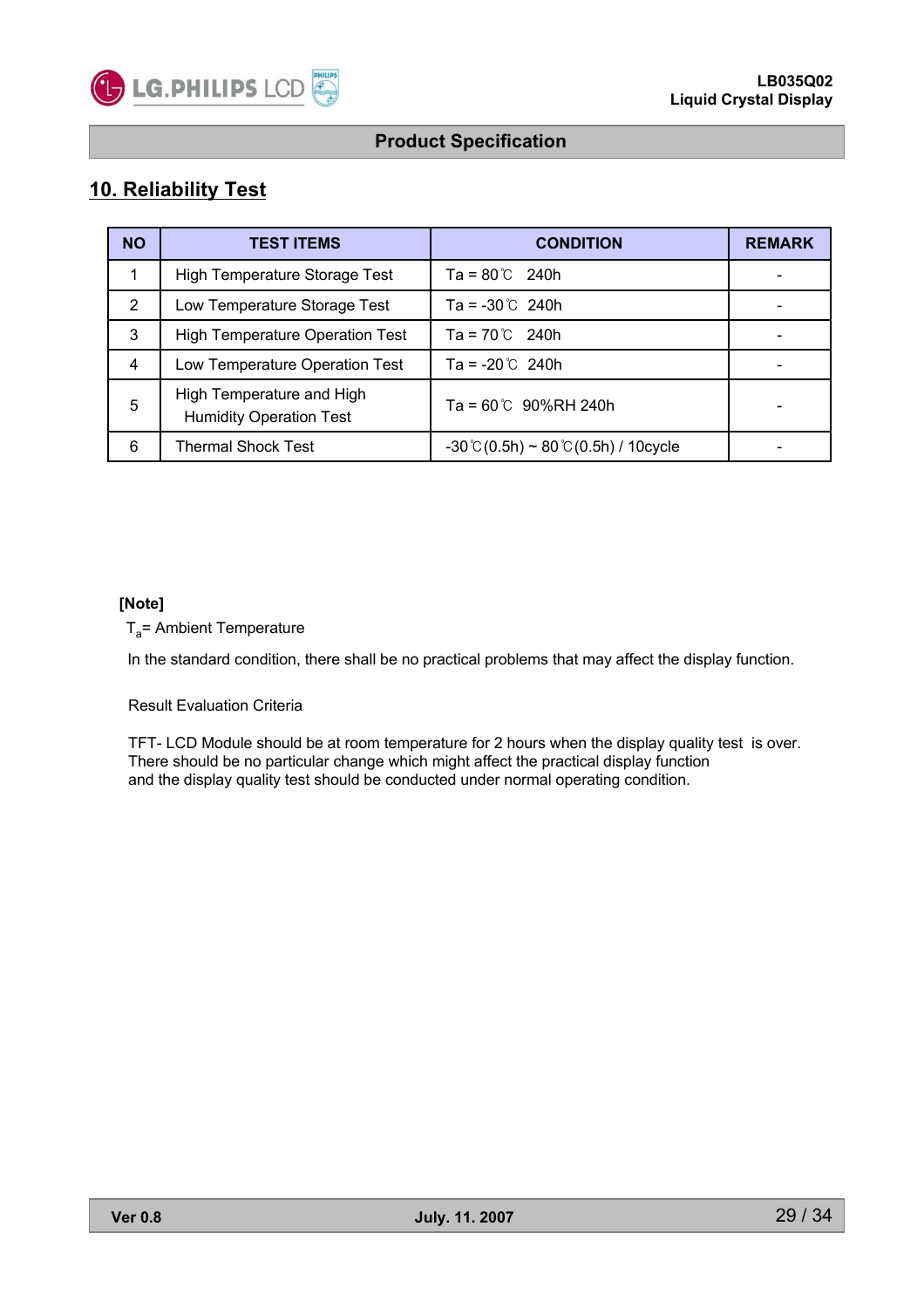

### **10. Reliability Test**

| <b>NO</b> | <b>TEST ITEMS</b>                                           | <b>CONDITION</b>                                              | <b>REMARK</b> |
|-----------|-------------------------------------------------------------|---------------------------------------------------------------|---------------|
|           | High Temperature Storage Test                               | $Ta = 80^{\circ}C$ 240h                                       |               |
| 2         | Low Temperature Storage Test                                | $Ta = -30^{\circ}C$ 240h                                      |               |
| 3         | <b>High Temperature Operation Test</b>                      | $Ta = 70^{\circ}C$ 240h                                       |               |
| 4         | Low Temperature Operation Test                              | Ta = $-20^{\circ}$ 240h                                       |               |
| 5         | High Temperature and High<br><b>Humidity Operation Test</b> | $Ta = 60^{\circ}C$ 90%RH 240h                                 |               |
| 6         | <b>Thermal Shock Test</b>                                   | $-30^{\circ}$ C $(0.5h) \sim 80^{\circ}$ C $(0.5h)$ / 10cycle |               |

#### **[Note]**

 $T_a$ = Ambient Temperature

In the standard condition, there shall be no practical problems that may affect the display function.

Result Evaluation Criteria

TFT- LCD Module should be at room temperature for 2 hours when the display quality test is over. There should be no particular change which might affect the practical display function and the display quality test should be conducted under normal operating condition.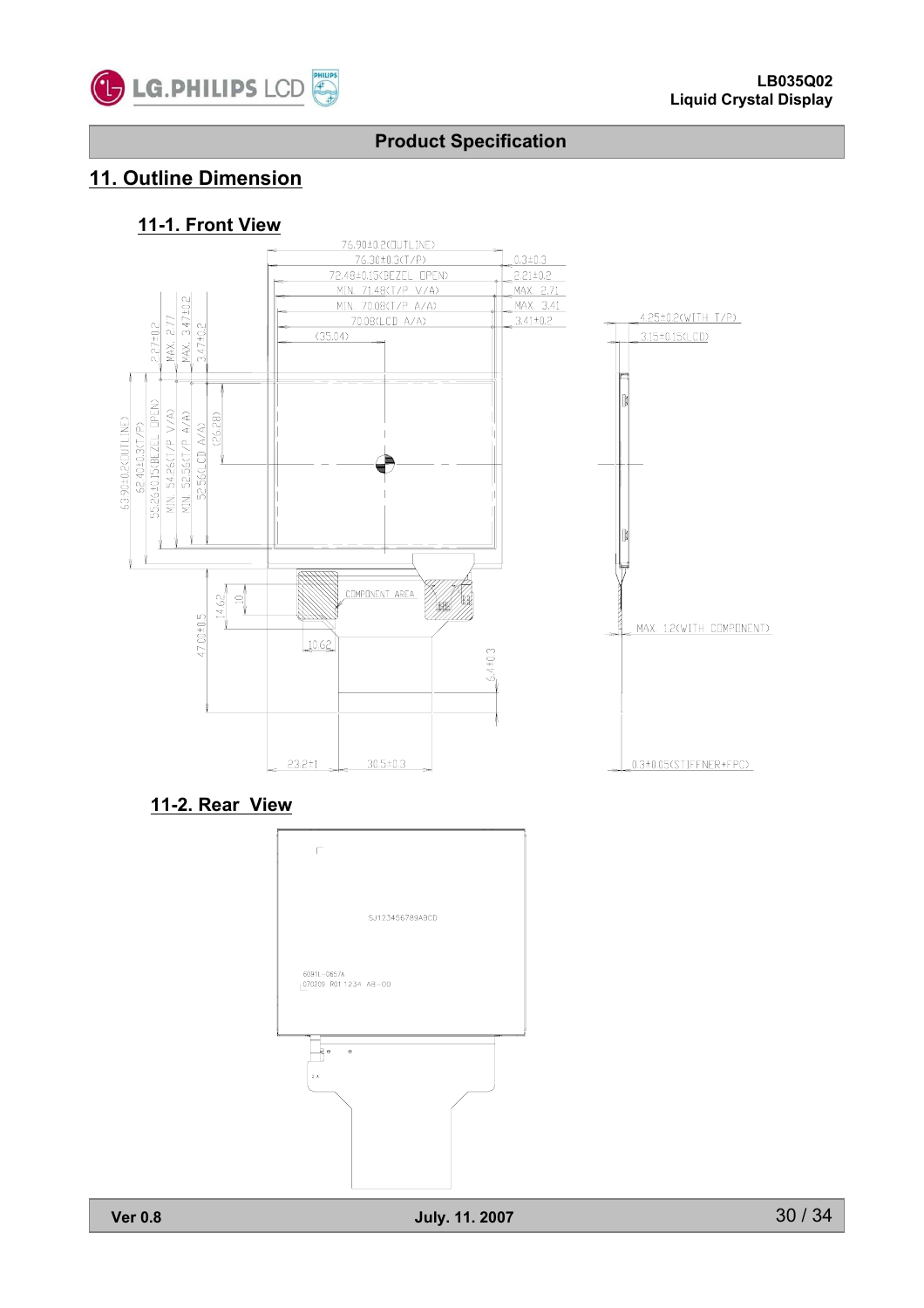

# **11. Outline Dimension**

#### **11-1. Front View**



#### **11-2. Rear View**

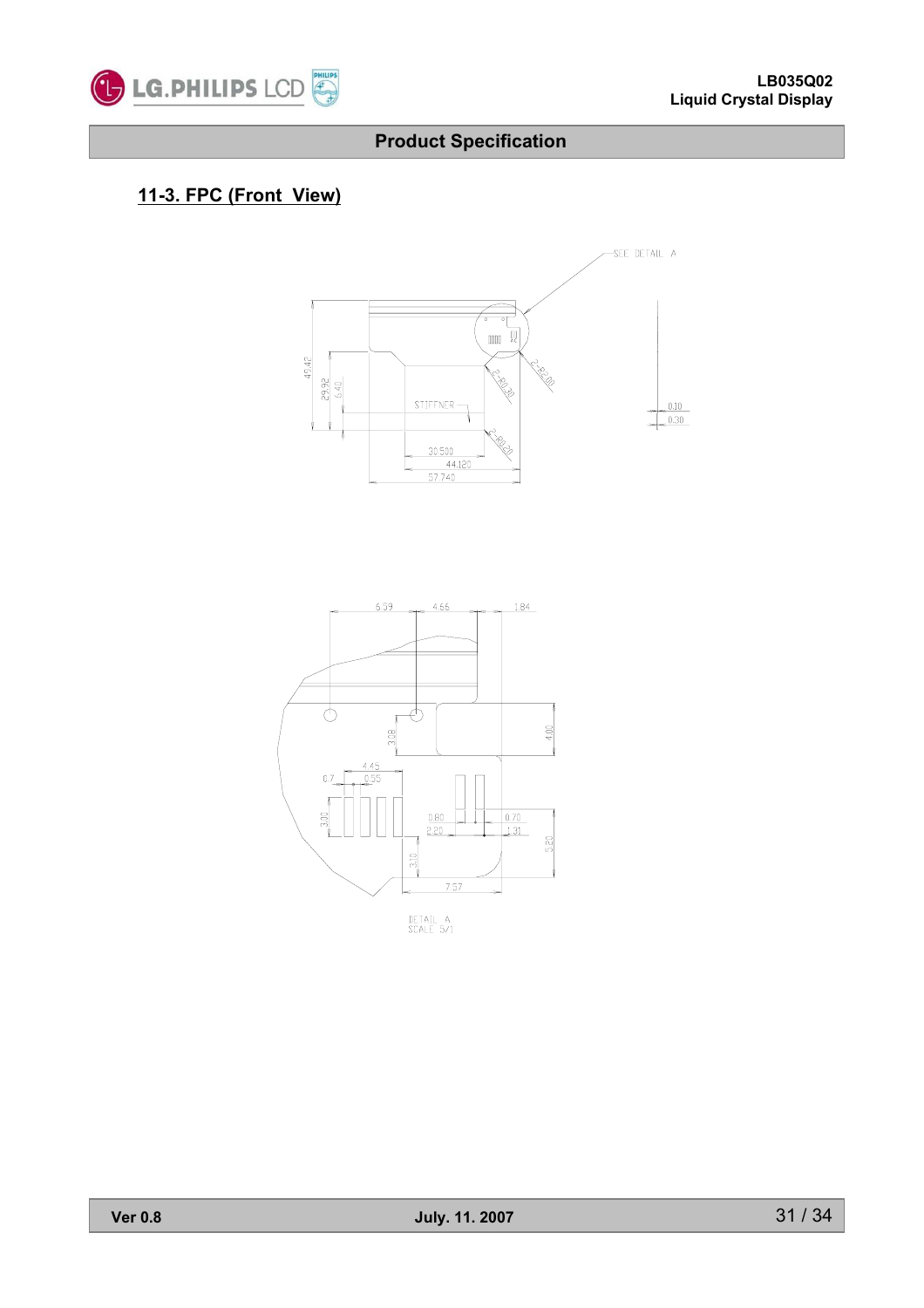

# **11-3. FPC (Front View)**





DETAIL A<br>SCALE 5/1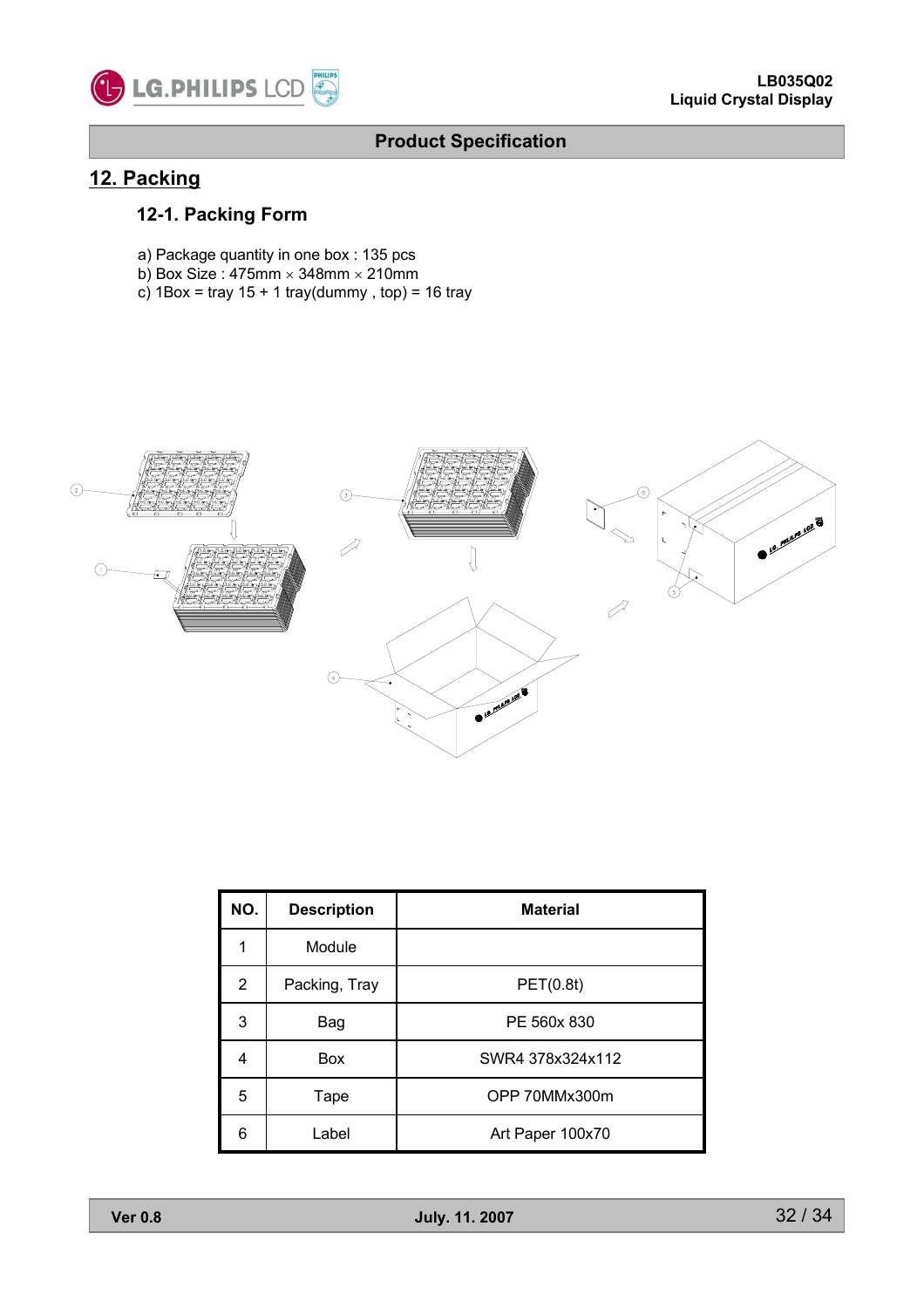

### **12. Packing**

### **12-1. Packing Form**

- a) Package quantity in one box : 135 pcs
- b) Box Size : 475mm  $\times$  348mm  $\times$  210mm
- c)  $1Box = \text{tray } 15 + 1 \text{tray (dummy, top)} = 16 \text{tray}$



| NO.            | <b>Description</b> | <b>Material</b>  |
|----------------|--------------------|------------------|
|                | Module             |                  |
| $\overline{2}$ | Packing, Tray      | PET(0.8t)        |
| 3              | Bag                | PE 560x 830      |
| 4              | Box                | SWR4 378x324x112 |
| 5              | Tape               | OPP 70MMx300m    |
| 6              | Label              | Art Paper 100x70 |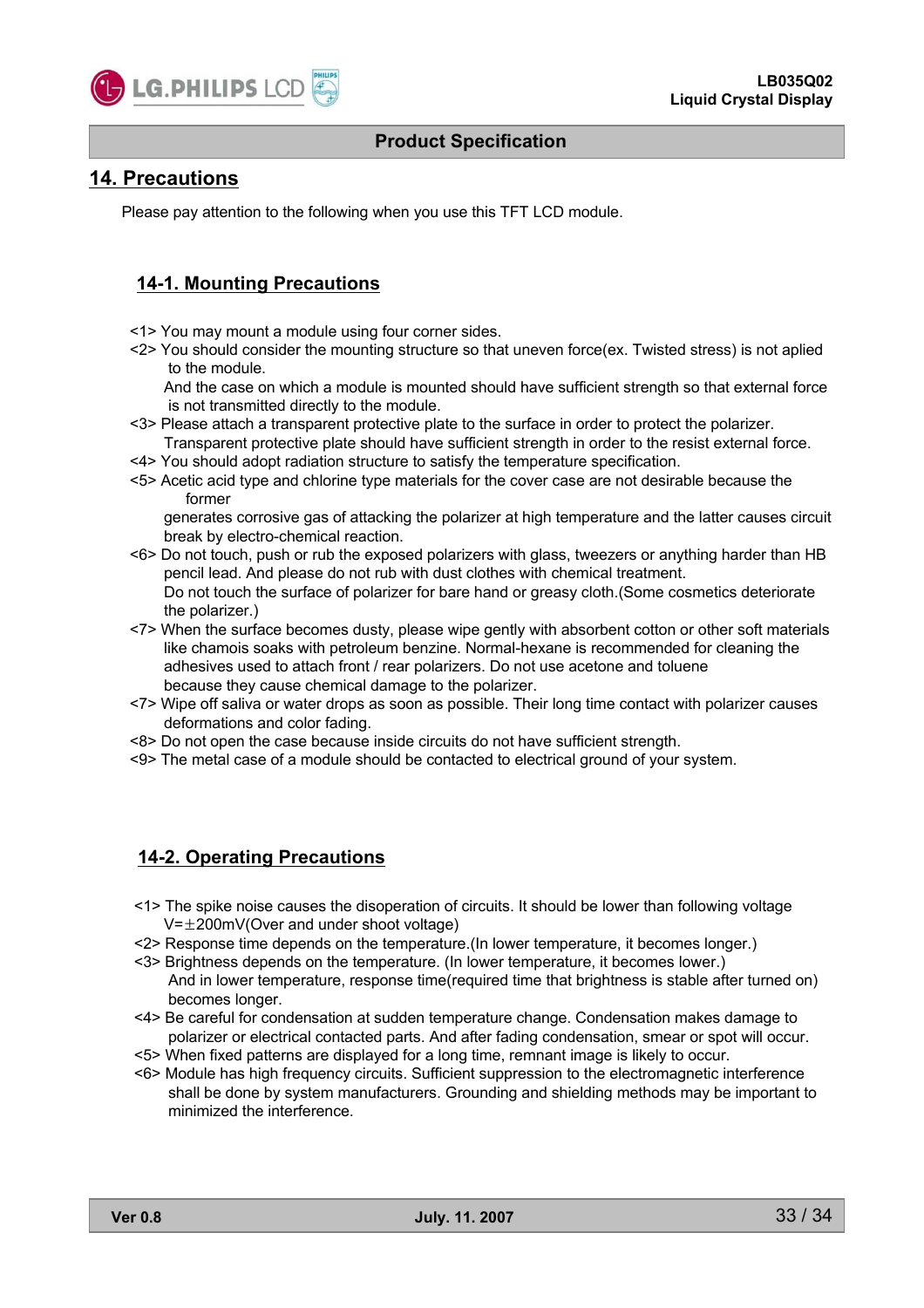

#### **14. Precautions**

Please pay attention to the following when you use this TFT LCD module.

#### **14-1. Mounting Precautions**

- <1> You may mount a module using four corner sides.
- <2> You should consider the mounting structure so that uneven force(ex. Twisted stress) is not aplied to the module.

And the case on which a module is mounted should have sufficient strength so that external force is not transmitted directly to the module.

- <3> Please attach a transparent protective plate to the surface in order to protect the polarizer. Transparent protective plate should have sufficient strength in order to the resist external force.
- <4> You should adopt radiation structure to satisfy the temperature specification.
- <5> Acetic acid type and chlorine type materials for the cover case are not desirable because the former

generates corrosive gas of attacking the polarizer at high temperature and the latter causes circuit break by electro-chemical reaction.

- <6> Do not touch, push or rub the exposed polarizers with glass, tweezers or anything harder than HB pencil lead. And please do not rub with dust clothes with chemical treatment. Do not touch the surface of polarizer for bare hand or greasy cloth.(Some cosmetics deteriorate the polarizer.)
- <7> When the surface becomes dusty, please wipe gently with absorbent cotton or other soft materials like chamois soaks with petroleum benzine. Normal-hexane is recommended for cleaning the adhesives used to attach front / rear polarizers. Do not use acetone and toluene because they cause chemical damage to the polarizer.
- <7> Wipe off saliva or water drops as soon as possible. Their long time contact with polarizer causes deformations and color fading.
- <8> Do not open the case because inside circuits do not have sufficient strength.
- <9> The metal case of a module should be contacted to electrical ground of your system.

#### **14-2. Operating Precautions**

- <1> The spike noise causes the disoperation of circuits. It should be lower than following voltage  $V=\pm 200$ mV(Over and under shoot voltage)
- <2> Response time depends on the temperature.(In lower temperature, it becomes longer.)
- <3> Brightness depends on the temperature. (In lower temperature, it becomes lower.) And in lower temperature, response time(required time that brightness is stable after turned on) becomes longer.
- <4> Be careful for condensation at sudden temperature change. Condensation makes damage to polarizer or electrical contacted parts. And after fading condensation, smear or spot will occur.
- <5> When fixed patterns are displayed for a long time, remnant image is likely to occur.
- <6> Module has high frequency circuits. Sufficient suppression to the electromagnetic interference shall be done by system manufacturers. Grounding and shielding methods may be important to minimized the interference.